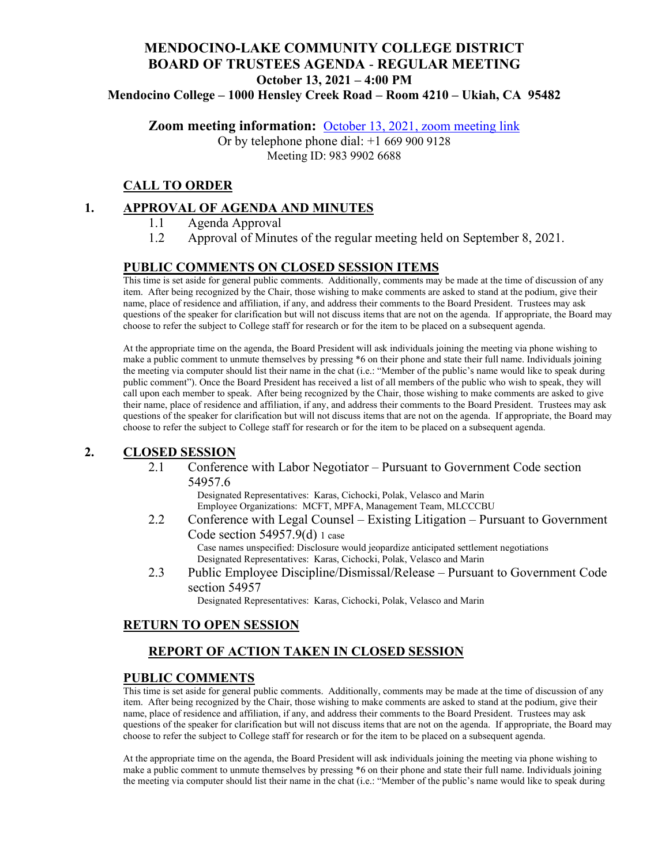# **MENDOCINO-LAKE COMMUNITY COLLEGE DISTRICT BOARD OF TRUSTEES AGENDA** - **REGULAR MEETING October 13, 2021 – 4:00 PM Mendocino College – 1000 Hensley Creek Road – Room 4210 – Ukiah, CA 95482**

**Zoom meeting information:** [October 13, 2021, zoom meeting link](https://mendocino-edu.zoom.us/j/98399026688)

Or by telephone phone dial: +1 669 900 9128 Meeting ID: 983 9902 6688

# **CALL TO ORDER**

# **1. APPROVAL OF AGENDA AND MINUTES**

- 1.1 Agenda Approval
- 1.2 Approval of Minutes of the regular meeting held on September 8, 2021.

# **PUBLIC COMMENTS ON CLOSED SESSION ITEMS**

This time is set aside for general public comments. Additionally, comments may be made at the time of discussion of any item. After being recognized by the Chair, those wishing to make comments are asked to stand at the podium, give their name, place of residence and affiliation, if any, and address their comments to the Board President. Trustees may ask questions of the speaker for clarification but will not discuss items that are not on the agenda. If appropriate, the Board may choose to refer the subject to College staff for research or for the item to be placed on a subsequent agenda.

At the appropriate time on the agenda, the Board President will ask individuals joining the meeting via phone wishing to make a public comment to unmute themselves by pressing \*6 on their phone and state their full name. Individuals joining the meeting via computer should list their name in the chat (i.e.: "Member of the public's name would like to speak during public comment"). Once the Board President has received a list of all members of the public who wish to speak, they will call upon each member to speak. After being recognized by the Chair, those wishing to make comments are asked to give their name, place of residence and affiliation, if any, and address their comments to the Board President. Trustees may ask questions of the speaker for clarification but will not discuss items that are not on the agenda. If appropriate, the Board may choose to refer the subject to College staff for research or for the item to be placed on a subsequent agenda.

#### **2. CLOSED SESSION**

2.1 Conference with Labor Negotiator – Pursuant to Government Code section 54957.6

Designated Representatives: Karas, Cichocki, Polak, Velasco and Marin Employee Organizations: MCFT, MPFA, Management Team, MLCCCBU

- 2.2 Conference with Legal Counsel Existing Litigation Pursuant to Government Code section 54957.9(d) 1 case Case names unspecified: Disclosure would jeopardize anticipated settlement negotiations Designated Representatives: Karas, Cichocki, Polak, Velasco and Marin
- 2.3 Public Employee Discipline/Dismissal/Release Pursuant to Government Code section 54957

Designated Representatives: Karas, Cichocki, Polak, Velasco and Marin

#### **RETURN TO OPEN SESSION**

# **REPORT OF ACTION TAKEN IN CLOSED SESSION**

#### **PUBLIC COMMENTS**

This time is set aside for general public comments. Additionally, comments may be made at the time of discussion of any item. After being recognized by the Chair, those wishing to make comments are asked to stand at the podium, give their name, place of residence and affiliation, if any, and address their comments to the Board President. Trustees may ask questions of the speaker for clarification but will not discuss items that are not on the agenda. If appropriate, the Board may choose to refer the subject to College staff for research or for the item to be placed on a subsequent agenda.

At the appropriate time on the agenda, the Board President will ask individuals joining the meeting via phone wishing to make a public comment to unmute themselves by pressing \*6 on their phone and state their full name. Individuals joining the meeting via computer should list their name in the chat (i.e.: "Member of the public's name would like to speak during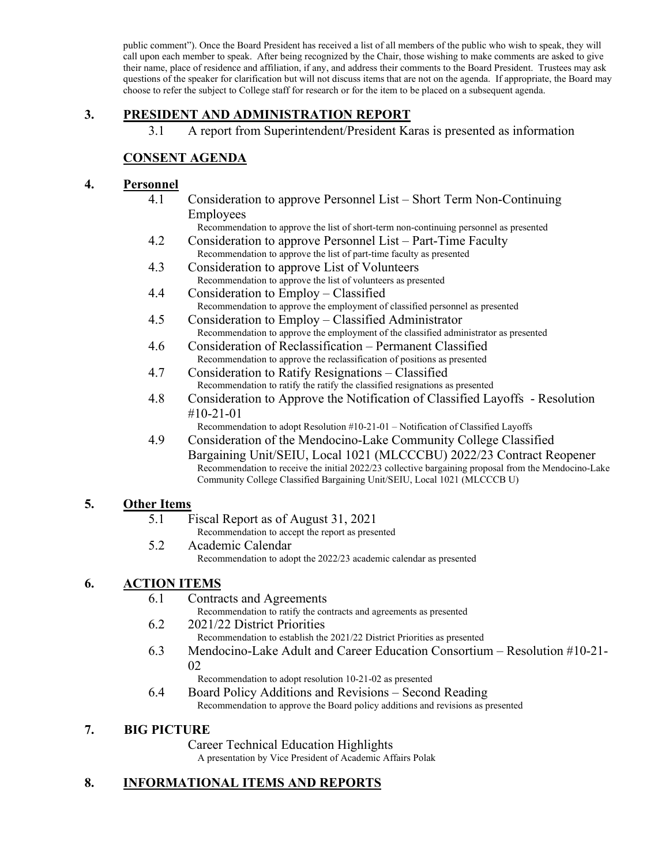public comment"). Once the Board President has received a list of all members of the public who wish to speak, they will call upon each member to speak. After being recognized by the Chair, those wishing to make comments are asked to give their name, place of residence and affiliation, if any, and address their comments to the Board President. Trustees may ask questions of the speaker for clarification but will not discuss items that are not on the agenda. If appropriate, the Board may choose to refer the subject to College staff for research or for the item to be placed on a subsequent agenda.

# **3. PRESIDENT AND ADMINISTRATION REPORT**

3.1 A report from Superintendent/President Karas is presented as information

# **CONSENT AGENDA**

#### **4. Personnel**

4.1 Consideration to approve Personnel List – Short Term Non-Continuing Employees

Recommendation to approve the list of short-term non-continuing personnel as presented

- 4.2 Consideration to approve Personnel List Part-Time Faculty Recommendation to approve the list of part-time faculty as presented
- 4.3 Consideration to approve List of Volunteers Recommendation to approve the list of volunteers as presented
- 4.4 Consideration to Employ Classified Recommendation to approve the employment of classified personnel as presented
- 4.5 Consideration to Employ Classified Administrator Recommendation to approve the employment of the classified administrator as presented
- 4.6 Consideration of Reclassification Permanent Classified Recommendation to approve the reclassification of positions as presented
- 4.7 Consideration to Ratify Resignations Classified Recommendation to ratify the ratify the classified resignations as presented
- 4.8 Consideration to Approve the Notification of Classified Layoffs Resolution #10-21-01

Recommendation to adopt Resolution #10-21-01 – Notification of Classified Layoffs

4.9 Consideration of the Mendocino-Lake Community College Classified Bargaining Unit/SEIU, Local 1021 (MLCCCBU) 2022/23 Contract Reopener Recommendation to receive the initial 2022/23 collective bargaining proposal from the Mendocino-Lake Community College Classified Bargaining Unit/SEIU, Local 1021 (MLCCCB U)

#### **5. Other Items**

- 5.1 Fiscal Report as of August 31, 2021
- Recommendation to accept the report as presented 5.2 Academic Calendar
	- Recommendation to adopt the 2022/23 academic calendar as presented

# **6. ACTION ITEMS**

6.1 Contracts and Agreements

Recommendation to ratify the contracts and agreements as presented

- 6.2 2021/22 District Priorities Recommendation to establish the 2021/22 District Priorities as presented
- 6.3 Mendocino-Lake Adult and Career Education Consortium Resolution #10-21- 02

Recommendation to adopt resolution 10-21-02 as presented

6.4 Board Policy Additions and Revisions – Second Reading Recommendation to approve the Board policy additions and revisions as presented

#### **7. BIG PICTURE**

Career Technical Education Highlights A presentation by Vice President of Academic Affairs Polak

# **8. INFORMATIONAL ITEMS AND REPORTS**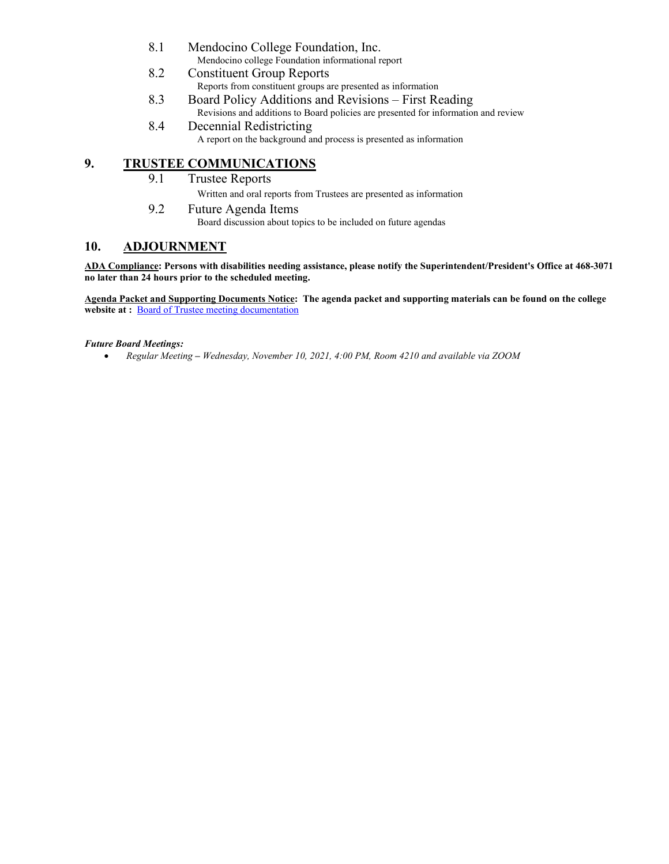- 8.1 Mendocino College Foundation, Inc. Mendocino college Foundation informational report
- 8.2 Constituent Group Reports Reports from constituent groups are presented as information
- 8.3 Board Policy Additions and Revisions First Reading Revisions and additions to Board policies are presented for information and review
- 8.4 Decennial Redistricting A report on the background and process is presented as information

### **9. TRUSTEE COMMUNICATIONS**

- 9.1 Trustee Reports
	- Written and oral reports from Trustees are presented as information
- 9.2 Future Agenda Items Board discussion about topics to be included on future agendas

# **10. ADJOURNMENT**

**ADA Compliance: Persons with disabilities needing assistance, please notify the Superintendent/President's Office at 468-3071 no later than 24 hours prior to the scheduled meeting.** 

**Agenda Packet and Supporting Documents Notice: The agenda packet and supporting materials can be found on the college**  website at : **[Board of Trustee meeting documentation](https://www.mendocino.edu/botagendas)** 

#### *Future Board Meetings:*

• *Regular Meeting – Wednesday, November 10, 2021, 4:00 PM, Room 4210 and available via ZOOM*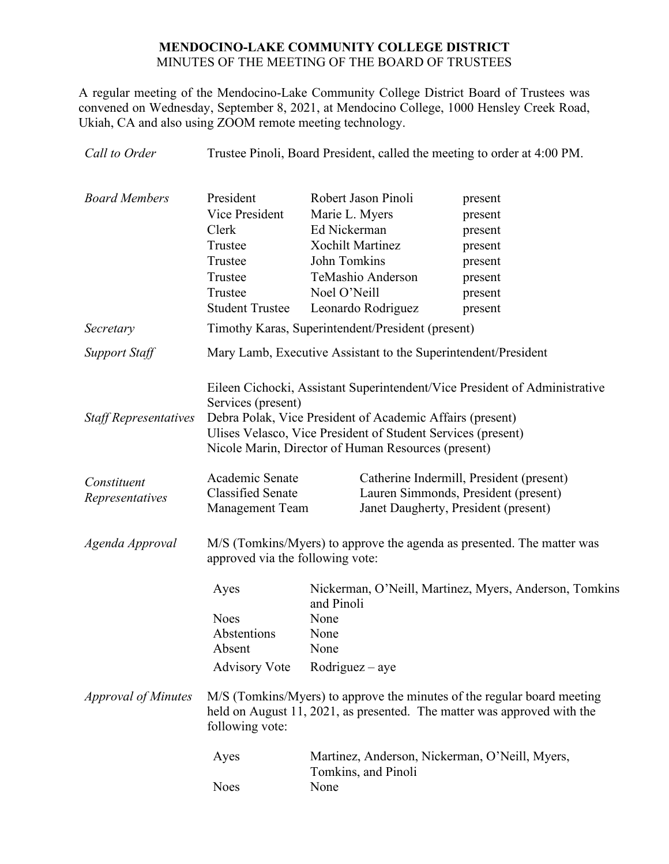# **MENDOCINO-LAKE COMMUNITY COLLEGE DISTRICT** MINUTES OF THE MEETING OF THE BOARD OF TRUSTEES

A regular meeting of the Mendocino-Lake Community College District Board of Trustees was convened on Wednesday, September 8, 2021, at Mendocino College, 1000 Hensley Creek Road, Ukiah, CA and also using ZOOM remote meeting technology.

| Call to Order                  |                                                                                                            | Trustee Pinoli, Board President, called the meeting to order at 4:00 PM.                                                                                                                                                                                       |                                                                                      |  |  |
|--------------------------------|------------------------------------------------------------------------------------------------------------|----------------------------------------------------------------------------------------------------------------------------------------------------------------------------------------------------------------------------------------------------------------|--------------------------------------------------------------------------------------|--|--|
| <b>Board Members</b>           | President<br>Vice President<br>Clerk<br>Trustee<br>Trustee<br>Trustee<br>Trustee<br><b>Student Trustee</b> | Robert Jason Pinoli<br>Marie L. Myers<br>Ed Nickerman<br><b>Xochilt Martinez</b><br>John Tomkins<br>TeMashio Anderson<br>Noel O'Neill<br>Leonardo Rodriguez                                                                                                    | present<br>present<br>present<br>present<br>present<br>present<br>present<br>present |  |  |
| Secretary                      |                                                                                                            | Timothy Karas, Superintendent/President (present)                                                                                                                                                                                                              |                                                                                      |  |  |
| <b>Support Staff</b>           |                                                                                                            | Mary Lamb, Executive Assistant to the Superintendent/President                                                                                                                                                                                                 |                                                                                      |  |  |
| <b>Staff Representatives</b>   | Services (present)                                                                                         | Eileen Cichocki, Assistant Superintendent/Vice President of Administrative<br>Debra Polak, Vice President of Academic Affairs (present)<br>Ulises Velasco, Vice President of Student Services (present)<br>Nicole Marin, Director of Human Resources (present) |                                                                                      |  |  |
| Constituent<br>Representatives | Academic Senate<br><b>Classified Senate</b><br>Management Team                                             | Catherine Indermill, President (present)<br>Lauren Simmonds, President (present)<br>Janet Daugherty, President (present)                                                                                                                                       |                                                                                      |  |  |
| Agenda Approval                | approved via the following vote:                                                                           | M/S (Tomkins/Myers) to approve the agenda as presented. The matter was                                                                                                                                                                                         |                                                                                      |  |  |
|                                | Ayes<br><b>Noes</b><br>Abstentions<br>Absent<br><b>Advisory Vote</b>                                       | and Pinoli<br>None<br>None<br>None<br>Rodriguez - aye                                                                                                                                                                                                          | Nickerman, O'Neill, Martinez, Myers, Anderson, Tomkins                               |  |  |
| <b>Approval of Minutes</b>     | following vote:                                                                                            | M/S (Tomkins/Myers) to approve the minutes of the regular board meeting<br>held on August 11, 2021, as presented. The matter was approved with the                                                                                                             |                                                                                      |  |  |
|                                | Ayes<br><b>Noes</b>                                                                                        | Tomkins, and Pinoli<br>None                                                                                                                                                                                                                                    | Martinez, Anderson, Nickerman, O'Neill, Myers,                                       |  |  |
|                                |                                                                                                            |                                                                                                                                                                                                                                                                |                                                                                      |  |  |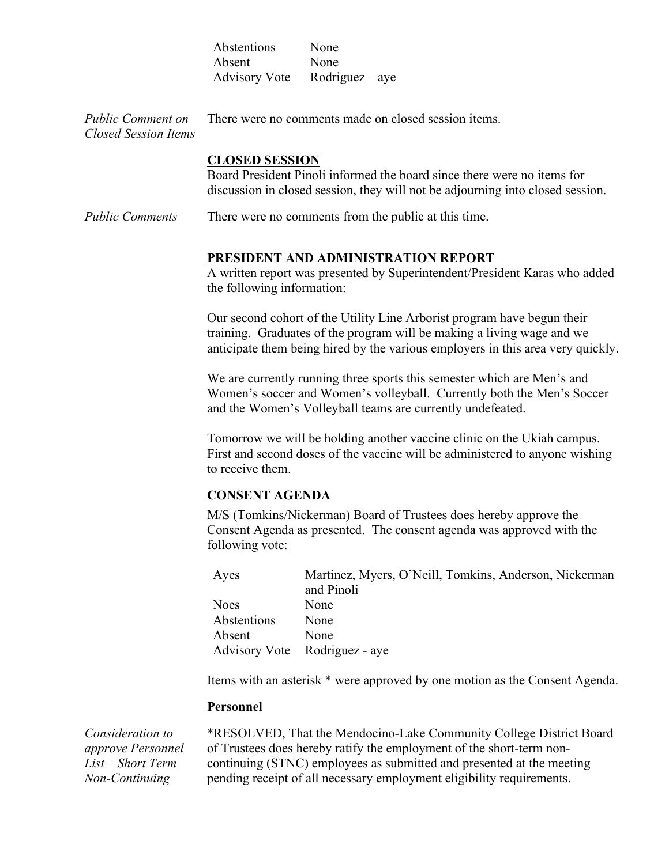|                                           | Abstentions           | None                                                                                                                                                      |
|-------------------------------------------|-----------------------|-----------------------------------------------------------------------------------------------------------------------------------------------------------|
|                                           | Absent                | None                                                                                                                                                      |
|                                           | <b>Advisory Vote</b>  | $Rodriguez - aye$                                                                                                                                         |
| Public Comment on<br>Closed Session Items |                       | There were no comments made on closed session items.                                                                                                      |
|                                           | <b>CLOSED SESSION</b> | Board President Pinoli informed the board since there were no items for<br>discussion in closed session, they will not be adjourning into closed session. |
| <b>Public Comments</b>                    |                       | There were no comments from the public at this time.                                                                                                      |
|                                           |                       | PRESIDENT AND ADMINISTRATION REPORT                                                                                                                       |

A written report was presented by Superintendent/President Karas who added the following information:

Our second cohort of the Utility Line Arborist program have begun their training. Graduates of the program will be making a living wage and we anticipate them being hired by the various employers in this area very quickly.

We are currently running three sports this semester which are Men's and Women's soccer and Women's volleyball. Currently both the Men's Soccer and the Women's Volleyball teams are currently undefeated.

Tomorrow we will be holding another vaccine clinic on the Ukiah campus. First and second doses of the vaccine will be administered to anyone wishing to receive them.

#### **CONSENT AGENDA**

M/S (Tomkins/Nickerman) Board of Trustees does hereby approve the Consent Agenda as presented. The consent agenda was approved with the following vote:

| Ayes        | Martinez, Myers, O'Neill, Tomkins, Anderson, Nickerman |
|-------------|--------------------------------------------------------|
|             | and Pinoli                                             |
| <b>Noes</b> | None                                                   |
| Abstentions | None                                                   |
| Absent      | None                                                   |
|             | Advisory Vote Rodriguez - aye                          |

Items with an asterisk \* were approved by one motion as the Consent Agenda.

#### **Personnel**

*Consideration to approve Personnel List – Short Term Non-Continuing* 

\*RESOLVED, That the Mendocino-Lake Community College District Board of Trustees does hereby ratify the employment of the short-term noncontinuing (STNC) employees as submitted and presented at the meeting pending receipt of all necessary employment eligibility requirements.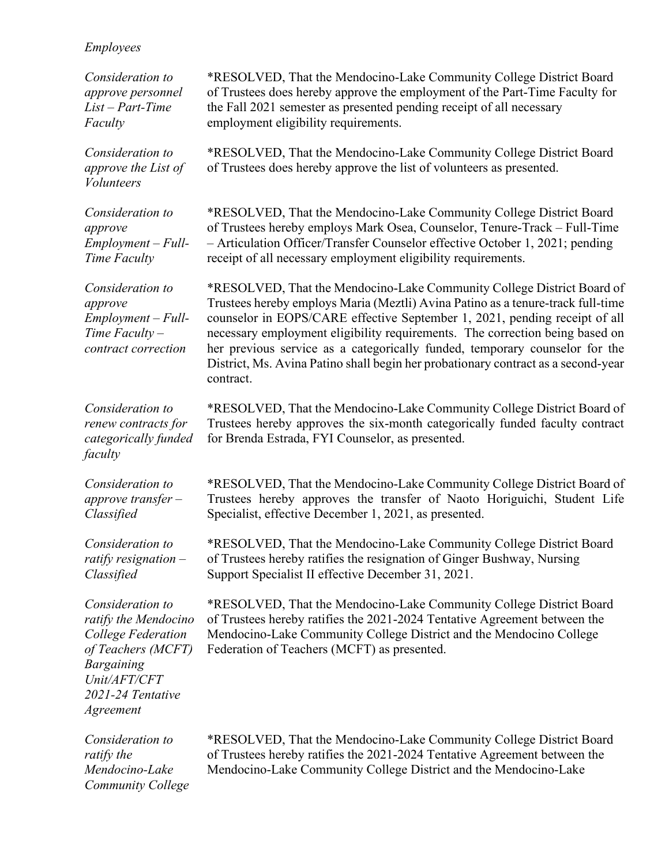#### *Employees*

*Consideration to approve personnel List – Part-Time Faculty*

*Consideration to approve the List of Volunteers*

*Consideration to approve Employment – Full-Time Faculty*

*Consideration to approve Employment – Full-Time Faculty – contract correction*

*Consideration to renew contracts for categorically funded faculty*

*Consideration to approve transfer – Classified*

*Consideration to ratify resignation – Classified*

*Consideration to ratify the Mendocino College Federation of Teachers (MCFT) Bargaining Unit/AFT/CFT 2021-24 Tentative Agreement*

\*RESOLVED, That the Mendocino-Lake Community College District Board of Trustees does hereby approve the employment of the Part-Time Faculty for the Fall 2021 semester as presented pending receipt of all necessary employment eligibility requirements.

\*RESOLVED, That the Mendocino-Lake Community College District Board of Trustees does hereby approve the list of volunteers as presented.

\*RESOLVED, That the Mendocino-Lake Community College District Board of Trustees hereby employs Mark Osea, Counselor, Tenure-Track – Full-Time – Articulation Officer/Transfer Counselor effective October 1, 2021; pending receipt of all necessary employment eligibility requirements.

\*RESOLVED, That the Mendocino-Lake Community College District Board of Trustees hereby employs Maria (Meztli) Avina Patino as a tenure-track full-time counselor in EOPS/CARE effective September 1, 2021, pending receipt of all necessary employment eligibility requirements. The correction being based on her previous service as a categorically funded, temporary counselor for the District, Ms. Avina Patino shall begin her probationary contract as a second-year contract.

\*RESOLVED, That the Mendocino-Lake Community College District Board of Trustees hereby approves the six-month categorically funded faculty contract for Brenda Estrada, FYI Counselor, as presented.

\*RESOLVED, That the Mendocino-Lake Community College District Board of Trustees hereby approves the transfer of Naoto Horiguichi, Student Life Specialist, effective December 1, 2021, as presented.

\*RESOLVED, That the Mendocino-Lake Community College District Board of Trustees hereby ratifies the resignation of Ginger Bushway, Nursing Support Specialist II effective December 31, 2021.

\*RESOLVED, That the Mendocino-Lake Community College District Board of Trustees hereby ratifies the 2021-2024 Tentative Agreement between the Mendocino-Lake Community College District and the Mendocino College Federation of Teachers (MCFT) as presented.

*Consideration to ratify the Mendocino-Lake Community College*  \*RESOLVED, That the Mendocino-Lake Community College District Board of Trustees hereby ratifies the 2021-2024 Tentative Agreement between the Mendocino-Lake Community College District and the Mendocino-Lake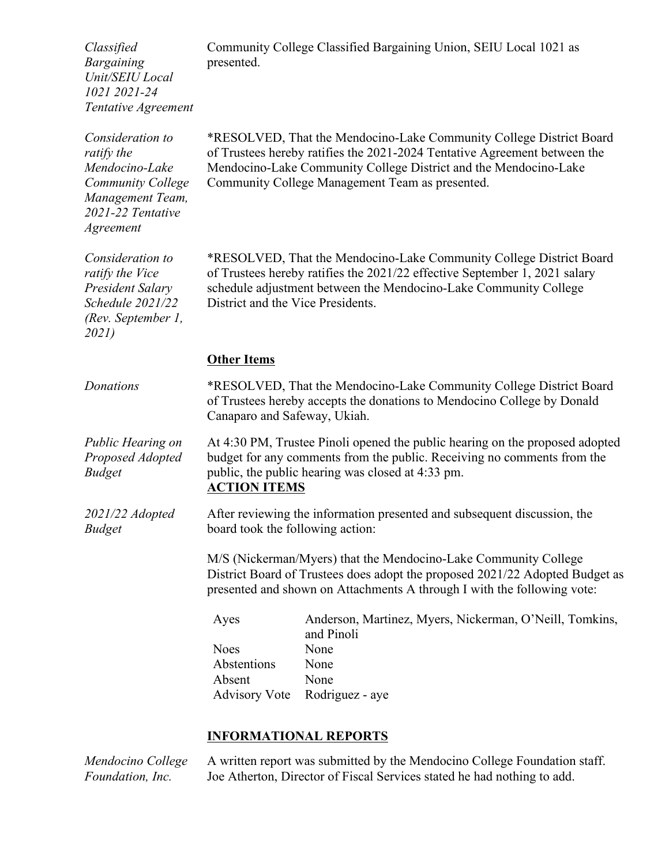*Classified Bargaining Unit/SEIU Local 1021 2021-24 Tentative Agreement*  Community College Classified Bargaining Union, SEIU Local 1021 as presented. *Consideration to ratify the Mendocino-Lake Community College Management Team, 2021-22 Tentative Agreement* \*RESOLVED, That the Mendocino-Lake Community College District Board of Trustees hereby ratifies the 2021-2024 Tentative Agreement between the Mendocino-Lake Community College District and the Mendocino-Lake Community College Management Team as presented. *Consideration to ratify the Vice President Salary Schedule 2021/22 (Rev. September 1, 2021)* \*RESOLVED, That the Mendocino-Lake Community College District Board of Trustees hereby ratifies the 2021/22 effective September 1, 2021 salary schedule adjustment between the Mendocino-Lake Community College District and the Vice Presidents. **Other Items** *Donations* \*RESOLVED, That the Mendocino-Lake Community College District Board of Trustees hereby accepts the donations to Mendocino College by Donald Canaparo and Safeway, Ukiah. *Public Hearing on Proposed Adopted Budget* At 4:30 PM, Trustee Pinoli opened the public hearing on the proposed adopted budget for any comments from the public. Receiving no comments from the public, the public hearing was closed at 4:33 pm. **ACTION ITEMS** *2021/22 Adopted Budget* After reviewing the information presented and subsequent discussion, the board took the following action: M/S (Nickerman/Myers) that the Mendocino-Lake Community College District Board of Trustees does adopt the proposed 2021/22 Adopted Budget as presented and shown on Attachments A through I with the following vote: Ayes Anderson, Martinez, Myers, Nickerman, O'Neill, Tomkins, and Pinoli Noes None Abstentions None Absent None Advisory Vote Rodriguez - aye

# **INFORMATIONAL REPORTS**

*Mendocino College Foundation, Inc.* A written report was submitted by the Mendocino College Foundation staff. Joe Atherton, Director of Fiscal Services stated he had nothing to add.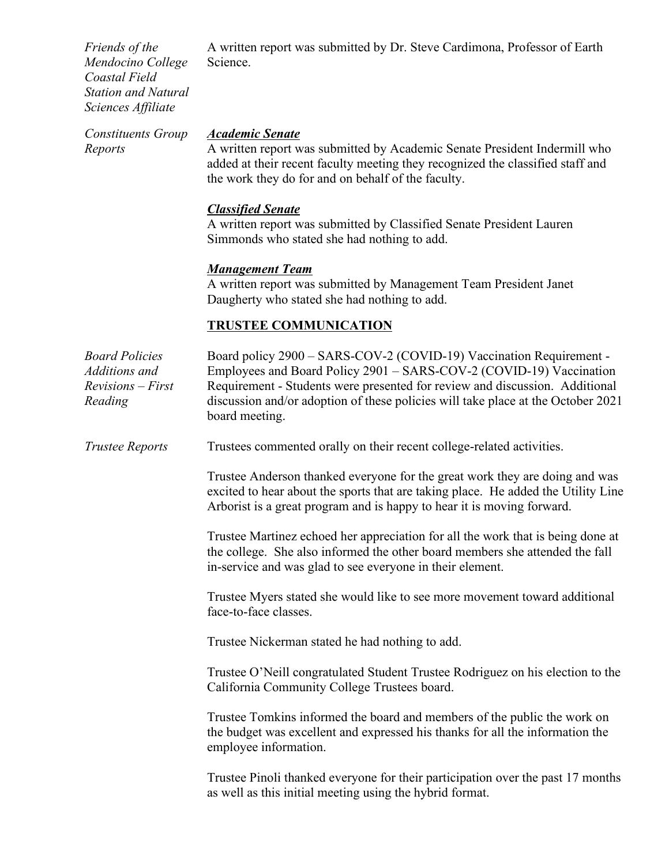*Friends of the Mendocino College Coastal Field Station and Natural Sciences Affiliate* A written report was submitted by Dr. Steve Cardimona, Professor of Earth Science. *Constituents Group Reports Academic Senate* A written report was submitted by Academic Senate President Indermill who

added at their recent faculty meeting they recognized the classified staff and the work they do for and on behalf of the faculty.

#### *Classified Senate*

A written report was submitted by Classified Senate President Lauren Simmonds who stated she had nothing to add.

#### *Management Team*

A written report was submitted by Management Team President Janet Daugherty who stated she had nothing to add.

# **TRUSTEE COMMUNICATION**

| <b>Board Policies</b><br>Additions and<br>$Revisions - First$<br>Reading | Board policy 2900 - SARS-COV-2 (COVID-19) Vaccination Requirement -<br>Employees and Board Policy 2901 - SARS-COV-2 (COVID-19) Vaccination<br>Requirement - Students were presented for review and discussion. Additional<br>discussion and/or adoption of these policies will take place at the October 2021<br>board meeting. |
|--------------------------------------------------------------------------|---------------------------------------------------------------------------------------------------------------------------------------------------------------------------------------------------------------------------------------------------------------------------------------------------------------------------------|
| <b>Trustee Reports</b>                                                   | Trustees commented orally on their recent college-related activities.                                                                                                                                                                                                                                                           |
|                                                                          | Trustee Anderson thanked everyone for the great work they are doing and was<br>excited to hear about the sports that are taking place. He added the Utility Line<br>Arborist is a great program and is happy to hear it is moving forward.                                                                                      |
|                                                                          | Trustee Martinez echoed her appreciation for all the work that is being done at<br>the college. She also informed the other board members she attended the fall<br>in-service and was glad to see everyone in their element.                                                                                                    |
|                                                                          | Trustee Myers stated she would like to see more movement toward additional<br>face-to-face classes.                                                                                                                                                                                                                             |
|                                                                          | Trustee Nickerman stated he had nothing to add.                                                                                                                                                                                                                                                                                 |
|                                                                          | Trustee O'Neill congratulated Student Trustee Rodriguez on his election to the<br>California Community College Trustees board.                                                                                                                                                                                                  |
|                                                                          | Trustee Tomkins informed the board and members of the public the work on<br>the budget was excellent and expressed his thanks for all the information the<br>employee information.                                                                                                                                              |
|                                                                          | Trustee Pinoli thanked everyone for their participation over the past 17 months<br>as well as this initial meeting using the hybrid format.                                                                                                                                                                                     |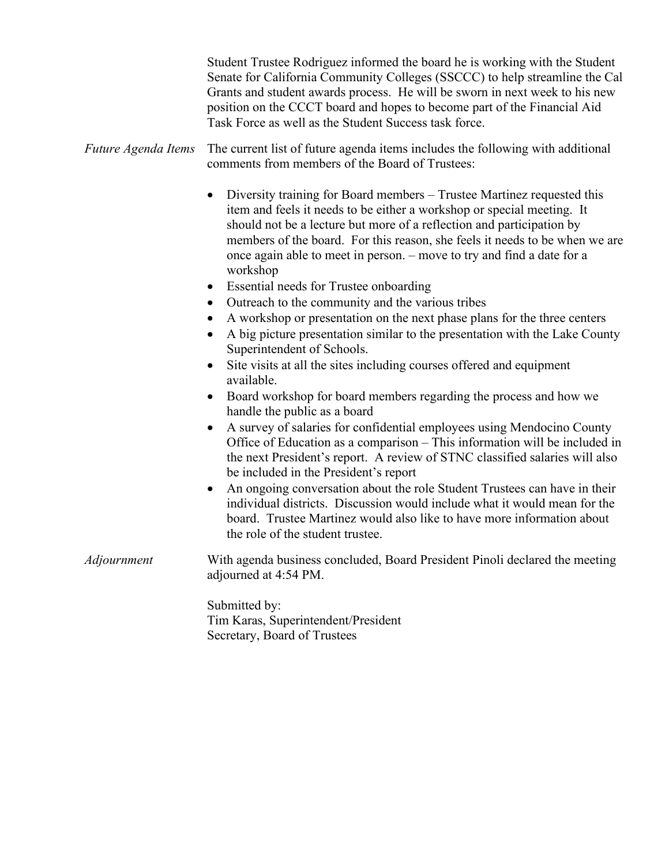|                     | Student Trustee Rodriguez informed the board he is working with the Student<br>Senate for California Community Colleges (SSCCC) to help streamline the Cal<br>Grants and student awards process. He will be sworn in next week to his new<br>position on the CCCT board and hopes to become part of the Financial Aid<br>Task Force as well as the Student Success task force.                 |
|---------------------|------------------------------------------------------------------------------------------------------------------------------------------------------------------------------------------------------------------------------------------------------------------------------------------------------------------------------------------------------------------------------------------------|
| Future Agenda Items | The current list of future agenda items includes the following with additional<br>comments from members of the Board of Trustees:                                                                                                                                                                                                                                                              |
|                     | Diversity training for Board members – Trustee Martinez requested this<br>item and feels it needs to be either a workshop or special meeting. It<br>should not be a lecture but more of a reflection and participation by<br>members of the board. For this reason, she feels it needs to be when we are<br>once again able to meet in person. – move to try and find a date for a<br>workshop |
|                     | Essential needs for Trustee onboarding<br>$\bullet$                                                                                                                                                                                                                                                                                                                                            |
|                     | Outreach to the community and the various tribes<br>$\bullet$                                                                                                                                                                                                                                                                                                                                  |
|                     | A workshop or presentation on the next phase plans for the three centers<br>٠<br>A big picture presentation similar to the presentation with the Lake County<br>Superintendent of Schools.                                                                                                                                                                                                     |
|                     | Site visits at all the sites including courses offered and equipment<br>available.                                                                                                                                                                                                                                                                                                             |
|                     | Board workshop for board members regarding the process and how we<br>handle the public as a board                                                                                                                                                                                                                                                                                              |
|                     | A survey of salaries for confidential employees using Mendocino County<br>Office of Education as a comparison - This information will be included in<br>the next President's report. A review of STNC classified salaries will also<br>be included in the President's report                                                                                                                   |
|                     | An ongoing conversation about the role Student Trustees can have in their<br>$\bullet$<br>individual districts. Discussion would include what it would mean for the<br>board. Trustee Martinez would also like to have more information about<br>the role of the student trustee.                                                                                                              |
| Adjournment         | With agenda business concluded, Board President Pinoli declared the meeting<br>adjourned at 4:54 PM.                                                                                                                                                                                                                                                                                           |
|                     | Submitted by:<br>Tim Karas, Superintendent/President<br>Secretary, Board of Trustees                                                                                                                                                                                                                                                                                                           |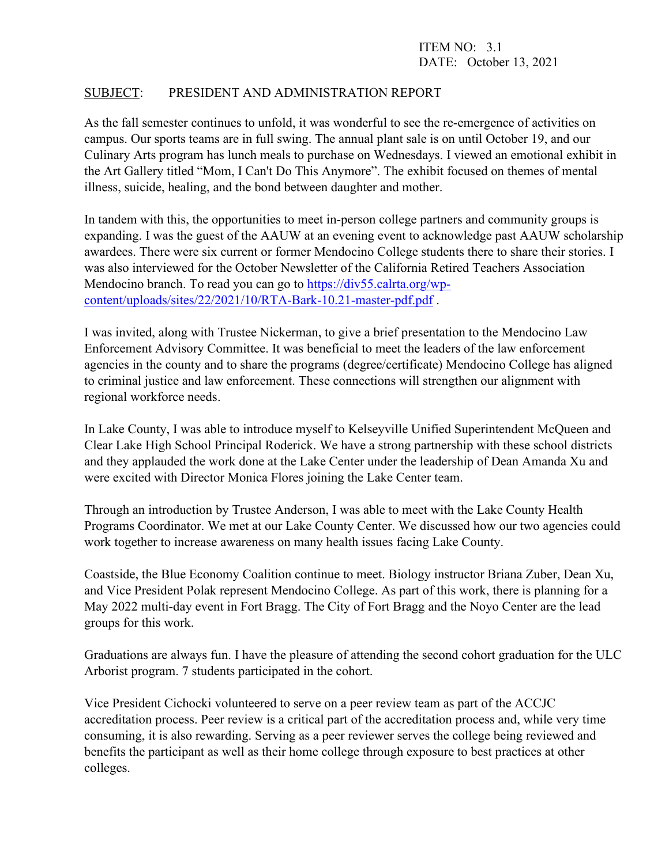# ITEM NO: 3.1 DATE: October 13, 2021

# SUBJECT: PRESIDENT AND ADMINISTRATION REPORT

As the fall semester continues to unfold, it was wonderful to see the re-emergence of activities on campus. Our sports teams are in full swing. The annual plant sale is on until October 19, and our Culinary Arts program has lunch meals to purchase on Wednesdays. I viewed an emotional exhibit in the Art Gallery titled "Mom, I Can't Do This Anymore". The exhibit focused on themes of mental illness, suicide, healing, and the bond between daughter and mother.

In tandem with this, the opportunities to meet in-person college partners and community groups is expanding. I was the guest of the AAUW at an evening event to acknowledge past AAUW scholarship awardees. There were six current or former Mendocino College students there to share their stories. I was also interviewed for the October Newsletter of the California Retired Teachers Association Mendocino branch. To read you can go to [https://div55.calrta.org/wp](https://div55.calrta.org/wp-content/uploads/sites/22/2021/10/RTA-Bark-10.21-master-pdf.pdf)[content/uploads/sites/22/2021/10/RTA-Bark-10.21-master-pdf.pdf](https://div55.calrta.org/wp-content/uploads/sites/22/2021/10/RTA-Bark-10.21-master-pdf.pdf) .

I was invited, along with Trustee Nickerman, to give a brief presentation to the Mendocino Law Enforcement Advisory Committee. It was beneficial to meet the leaders of the law enforcement agencies in the county and to share the programs (degree/certificate) Mendocino College has aligned to criminal justice and law enforcement. These connections will strengthen our alignment with regional workforce needs.

In Lake County, I was able to introduce myself to Kelseyville Unified Superintendent McQueen and Clear Lake High School Principal Roderick. We have a strong partnership with these school districts and they applauded the work done at the Lake Center under the leadership of Dean Amanda Xu and were excited with Director Monica Flores joining the Lake Center team.

Through an introduction by Trustee Anderson, I was able to meet with the Lake County Health Programs Coordinator. We met at our Lake County Center. We discussed how our two agencies could work together to increase awareness on many health issues facing Lake County.

Coastside, the Blue Economy Coalition continue to meet. Biology instructor Briana Zuber, Dean Xu, and Vice President Polak represent Mendocino College. As part of this work, there is planning for a May 2022 multi-day event in Fort Bragg. The City of Fort Bragg and the Noyo Center are the lead groups for this work.

Graduations are always fun. I have the pleasure of attending the second cohort graduation for the ULC Arborist program. 7 students participated in the cohort.

Vice President Cichocki volunteered to serve on a peer review team as part of the ACCJC accreditation process. Peer review is a critical part of the accreditation process and, while very time consuming, it is also rewarding. Serving as a peer reviewer serves the college being reviewed and benefits the participant as well as their home college through exposure to best practices at other colleges.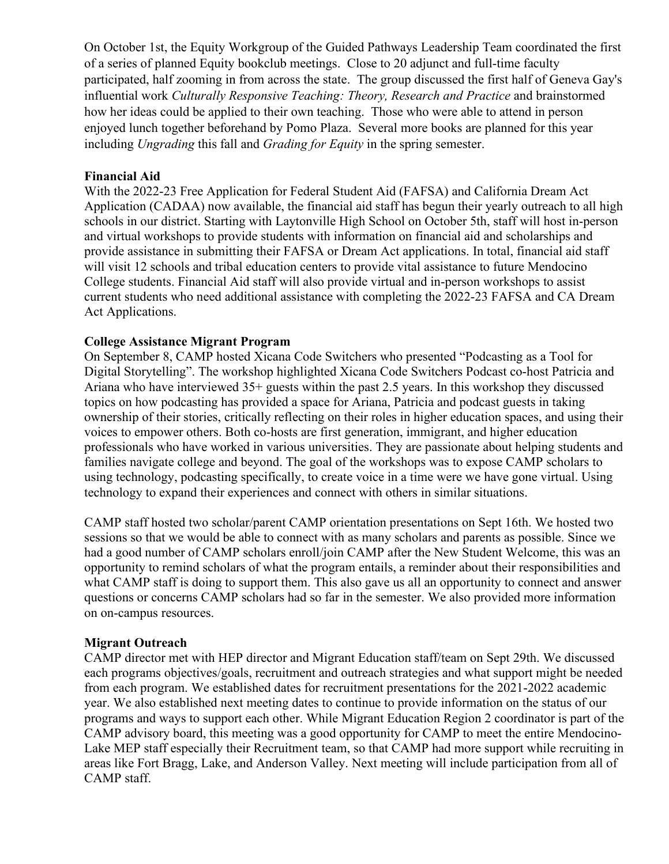On October 1st, the Equity Workgroup of the Guided Pathways Leadership Team coordinated the first of a series of planned Equity bookclub meetings. Close to 20 adjunct and full-time faculty participated, half zooming in from across the state. The group discussed the first half of Geneva Gay's influential work *Culturally Responsive Teaching: Theory, Research and Practice* and brainstormed how her ideas could be applied to their own teaching. Those who were able to attend in person enjoyed lunch together beforehand by Pomo Plaza. Several more books are planned for this year including *Ungrading* this fall and *Grading for Equity* in the spring semester.

#### **Financial Aid**

With the 2022-23 Free Application for Federal Student Aid (FAFSA) and California Dream Act Application (CADAA) now available, the financial aid staff has begun their yearly outreach to all high schools in our district. Starting with Laytonville High School on October 5th, staff will host in-person and virtual workshops to provide students with information on financial aid and scholarships and provide assistance in submitting their FAFSA or Dream Act applications. In total, financial aid staff will visit 12 schools and tribal education centers to provide vital assistance to future Mendocino College students. Financial Aid staff will also provide virtual and in-person workshops to assist current students who need additional assistance with completing the 2022-23 FAFSA and CA Dream Act Applications.

#### **College Assistance Migrant Program**

On September 8, CAMP hosted Xicana Code Switchers who presented "Podcasting as a Tool for Digital Storytelling". The workshop highlighted Xicana Code Switchers Podcast co-host Patricia and Ariana who have interviewed 35+ guests within the past 2.5 years. In this workshop they discussed topics on how podcasting has provided a space for Ariana, Patricia and podcast guests in taking ownership of their stories, critically reflecting on their roles in higher education spaces, and using their voices to empower others. Both co-hosts are first generation, immigrant, and higher education professionals who have worked in various universities. They are passionate about helping students and families navigate college and beyond. The goal of the workshops was to expose CAMP scholars to using technology, podcasting specifically, to create voice in a time were we have gone virtual. Using technology to expand their experiences and connect with others in similar situations.

CAMP staff hosted two scholar/parent CAMP orientation presentations on Sept 16th. We hosted two sessions so that we would be able to connect with as many scholars and parents as possible. Since we had a good number of CAMP scholars enroll/join CAMP after the New Student Welcome, this was an opportunity to remind scholars of what the program entails, a reminder about their responsibilities and what CAMP staff is doing to support them. This also gave us all an opportunity to connect and answer questions or concerns CAMP scholars had so far in the semester. We also provided more information on on-campus resources.

#### **Migrant Outreach**

CAMP director met with HEP director and Migrant Education staff/team on Sept 29th. We discussed each programs objectives/goals, recruitment and outreach strategies and what support might be needed from each program. We established dates for recruitment presentations for the 2021-2022 academic year. We also established next meeting dates to continue to provide information on the status of our programs and ways to support each other. While Migrant Education Region 2 coordinator is part of the CAMP advisory board, this meeting was a good opportunity for CAMP to meet the entire Mendocino-Lake MEP staff especially their Recruitment team, so that CAMP had more support while recruiting in areas like Fort Bragg, Lake, and Anderson Valley. Next meeting will include participation from all of CAMP staff.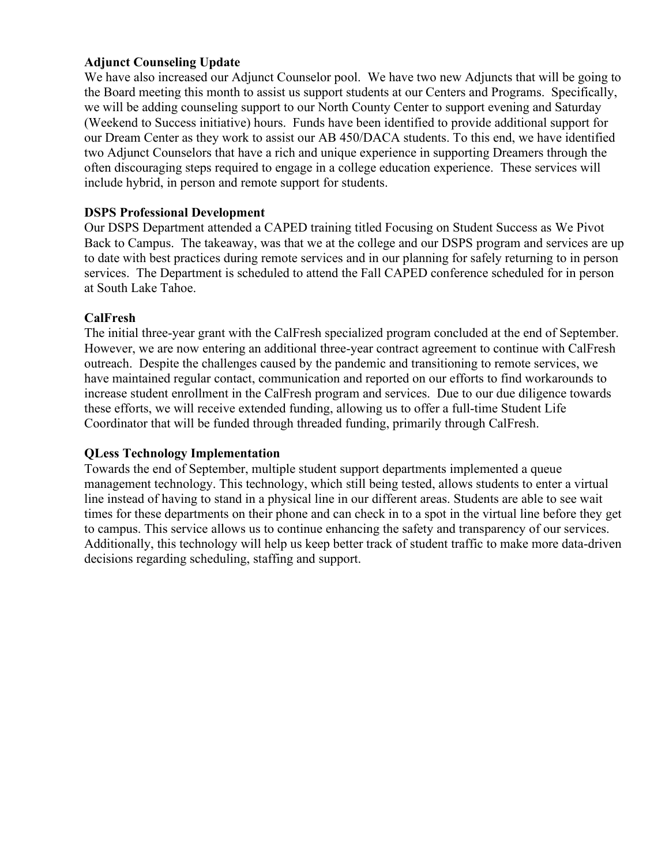# **Adjunct Counseling Update**

We have also increased our Adjunct Counselor pool. We have two new Adjuncts that will be going to the Board meeting this month to assist us support students at our Centers and Programs. Specifically, we will be adding counseling support to our North County Center to support evening and Saturday (Weekend to Success initiative) hours. Funds have been identified to provide additional support for our Dream Center as they work to assist our AB 450/DACA students. To this end, we have identified two Adjunct Counselors that have a rich and unique experience in supporting Dreamers through the often discouraging steps required to engage in a college education experience. These services will include hybrid, in person and remote support for students.

# **DSPS Professional Development**

Our DSPS Department attended a CAPED training titled Focusing on Student Success as We Pivot Back to Campus. The takeaway, was that we at the college and our DSPS program and services are up to date with best practices during remote services and in our planning for safely returning to in person services. The Department is scheduled to attend the Fall CAPED conference scheduled for in person at South Lake Tahoe.

#### **CalFresh**

The initial three-year grant with the CalFresh specialized program concluded at the end of September. However, we are now entering an additional three-year contract agreement to continue with CalFresh outreach. Despite the challenges caused by the pandemic and transitioning to remote services, we have maintained regular contact, communication and reported on our efforts to find workarounds to increase student enrollment in the CalFresh program and services. Due to our due diligence towards these efforts, we will receive extended funding, allowing us to offer a full-time Student Life Coordinator that will be funded through threaded funding, primarily through CalFresh.

# **QLess Technology Implementation**

Towards the end of September, multiple student support departments implemented a queue management technology. This technology, which still being tested, allows students to enter a virtual line instead of having to stand in a physical line in our different areas. Students are able to see wait times for these departments on their phone and can check in to a spot in the virtual line before they get to campus. This service allows us to continue enhancing the safety and transparency of our services. Additionally, this technology will help us keep better track of student traffic to make more data-driven decisions regarding scheduling, staffing and support.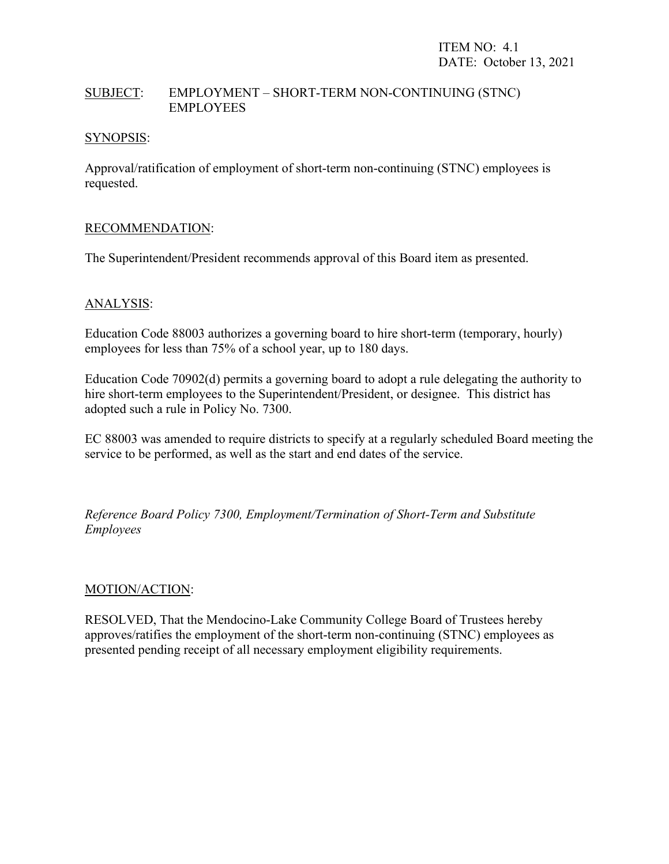# SUBJECT: EMPLOYMENT – SHORT-TERM NON-CONTINUING (STNC) EMPLOYEES

### SYNOPSIS:

Approval/ratification of employment of short-term non-continuing (STNC) employees is requested.

# RECOMMENDATION:

The Superintendent/President recommends approval of this Board item as presented.

# ANALYSIS:

Education Code 88003 authorizes a governing board to hire short-term (temporary, hourly) employees for less than 75% of a school year, up to 180 days.

Education Code 70902(d) permits a governing board to adopt a rule delegating the authority to hire short-term employees to the Superintendent/President, or designee. This district has adopted such a rule in Policy No. 7300.

EC 88003 was amended to require districts to specify at a regularly scheduled Board meeting the service to be performed, as well as the start and end dates of the service.

*Reference Board Policy 7300, Employment/Termination of Short-Term and Substitute Employees*

#### MOTION/ACTION:

RESOLVED, That the Mendocino-Lake Community College Board of Trustees hereby approves/ratifies the employment of the short-term non-continuing (STNC) employees as presented pending receipt of all necessary employment eligibility requirements.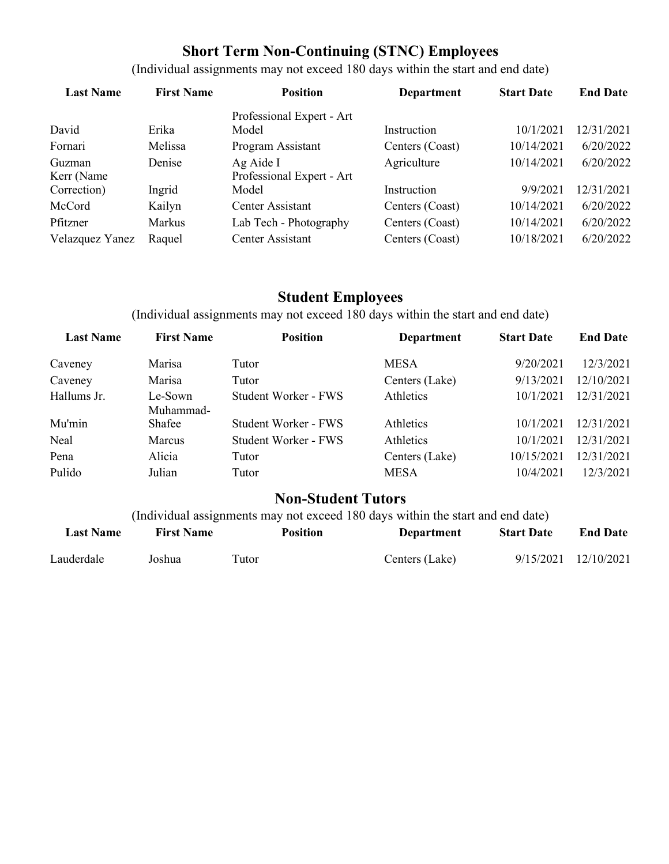# **Short Term Non-Continuing (STNC) Employees**

(Individual assignments may not exceed 180 days within the start and end date)

| <b>Last Name</b> | <b>First Name</b> | <b>Position</b>           | <b>Department</b> | <b>Start Date</b> | <b>End Date</b> |
|------------------|-------------------|---------------------------|-------------------|-------------------|-----------------|
|                  |                   | Professional Expert - Art |                   |                   |                 |
| David            | Erika             | Model                     | Instruction       | 10/1/2021         | 12/31/2021      |
| Fornari          | Melissa           | Program Assistant         | Centers (Coast)   | 10/14/2021        | 6/20/2022       |
| Guzman           | Denise            | Ag Aide I                 | Agriculture       | 10/14/2021        | 6/20/2022       |
| Kerr (Name       |                   | Professional Expert - Art |                   |                   |                 |
| Correction)      | Ingrid            | Model                     | Instruction       | 9/9/2021          | 12/31/2021      |
| McCord           | Kailyn            | Center Assistant          | Centers (Coast)   | 10/14/2021        | 6/20/2022       |
| Pfitzner         | <b>Markus</b>     | Lab Tech - Photography    | Centers (Coast)   | 10/14/2021        | 6/20/2022       |
| Velazquez Yanez  | Raquel            | Center Assistant          | Centers (Coast)   | 10/18/2021        | 6/20/2022       |

# **Student Employees**

(Individual assignments may not exceed 180 days within the start and end date)

| <b>Last Name</b> | <b>First Name</b>    | <b>Position</b>      | <b>Department</b> | <b>Start Date</b> | <b>End Date</b> |
|------------------|----------------------|----------------------|-------------------|-------------------|-----------------|
| Caveney          | Marisa               | Tutor                | <b>MESA</b>       | 9/20/2021         | 12/3/2021       |
| Caveney          | Marisa               | Tutor                | Centers (Lake)    | 9/13/2021         | 12/10/2021      |
| Hallums Jr.      | Le-Sown<br>Muhammad- | Student Worker - FWS | Athletics         | 10/1/2021         | 12/31/2021      |
| Mu'min           | Shafee               | Student Worker - FWS | Athletics         | 10/1/2021         | 12/31/2021      |
| Neal             | <b>Marcus</b>        | Student Worker - FWS | Athletics         | 10/1/2021         | 12/31/2021      |
| Pena             | Alicia               | Tutor                | Centers (Lake)    | 10/15/2021        | 12/31/2021      |
| Pulido           | Julian               | Tutor                | <b>MESA</b>       | 10/4/2021         | 12/3/2021       |

# **Non-Student Tutors**

(Individual assignments may not exceed 180 days within the start and end date)

| <b>Last Name</b> | <b>First Name</b> | <b>Position</b> | Department     | <b>Start Date</b> | <b>End Date</b>      |
|------------------|-------------------|-----------------|----------------|-------------------|----------------------|
| Lauderdale       | Joshua            | Tutor           | Centers (Lake) |                   | 9/15/2021 12/10/2021 |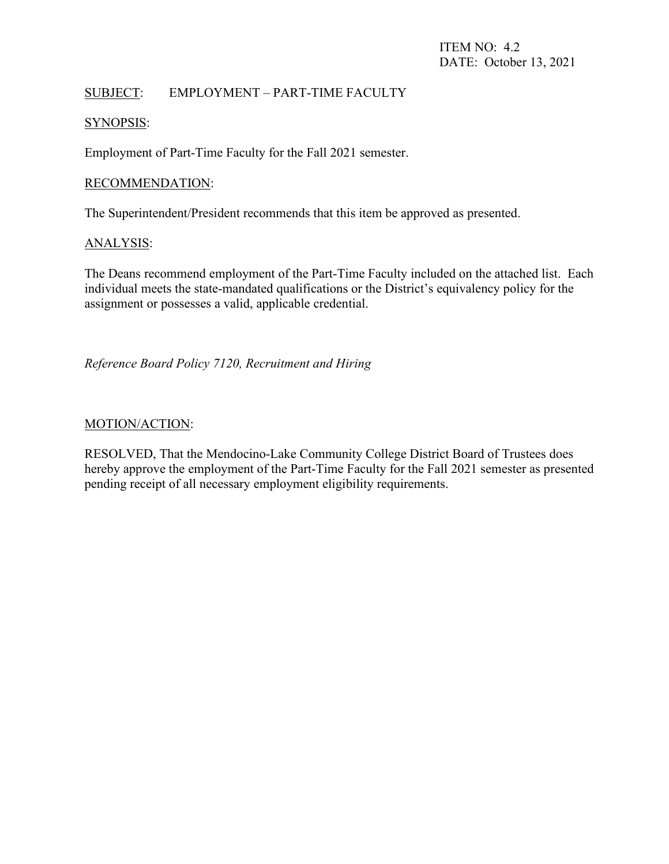# SUBJECT: EMPLOYMENT – PART-TIME FACULTY

#### SYNOPSIS:

Employment of Part-Time Faculty for the Fall 2021 semester.

#### RECOMMENDATION:

The Superintendent/President recommends that this item be approved as presented.

#### ANALYSIS:

The Deans recommend employment of the Part-Time Faculty included on the attached list. Each individual meets the state-mandated qualifications or the District's equivalency policy for the assignment or possesses a valid, applicable credential.

*Reference Board Policy 7120, Recruitment and Hiring*

#### MOTION/ACTION:

RESOLVED, That the Mendocino-Lake Community College District Board of Trustees does hereby approve the employment of the Part-Time Faculty for the Fall 2021 semester as presented pending receipt of all necessary employment eligibility requirements.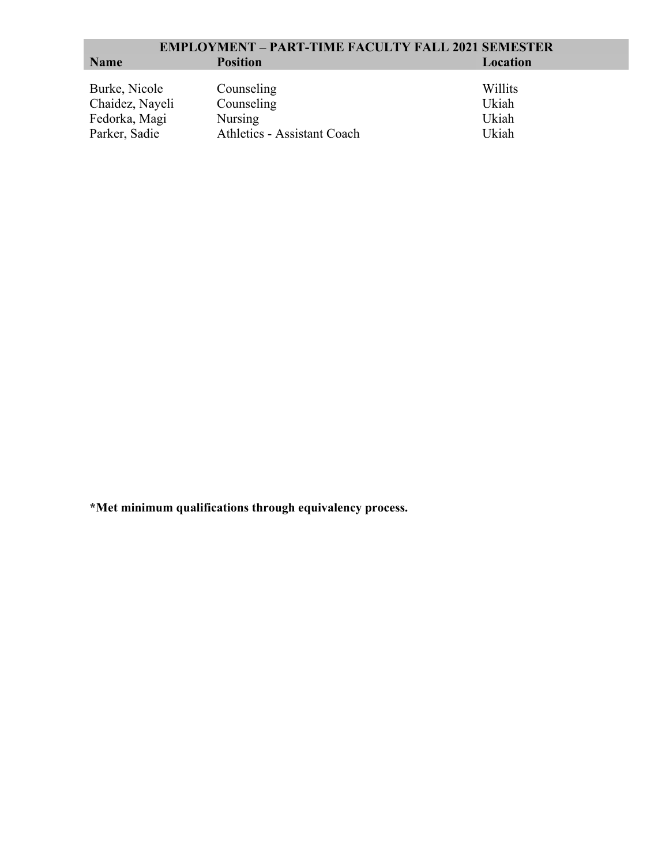|                                                                    | <b>EMPLOYMENT – PART-TIME FACULTY FALL 2021 SEMESTER</b>                  |                                    |
|--------------------------------------------------------------------|---------------------------------------------------------------------------|------------------------------------|
| <b>Name</b>                                                        | <b>Position</b>                                                           | Location                           |
| Burke, Nicole<br>Chaidez, Nayeli<br>Fedorka, Magi<br>Parker, Sadie | Counseling<br>Counseling<br>Nursing<br><b>Athletics - Assistant Coach</b> | Willits<br>Ukiah<br>Ukiah<br>Ukiah |

**\*Met minimum qualifications through equivalency process.**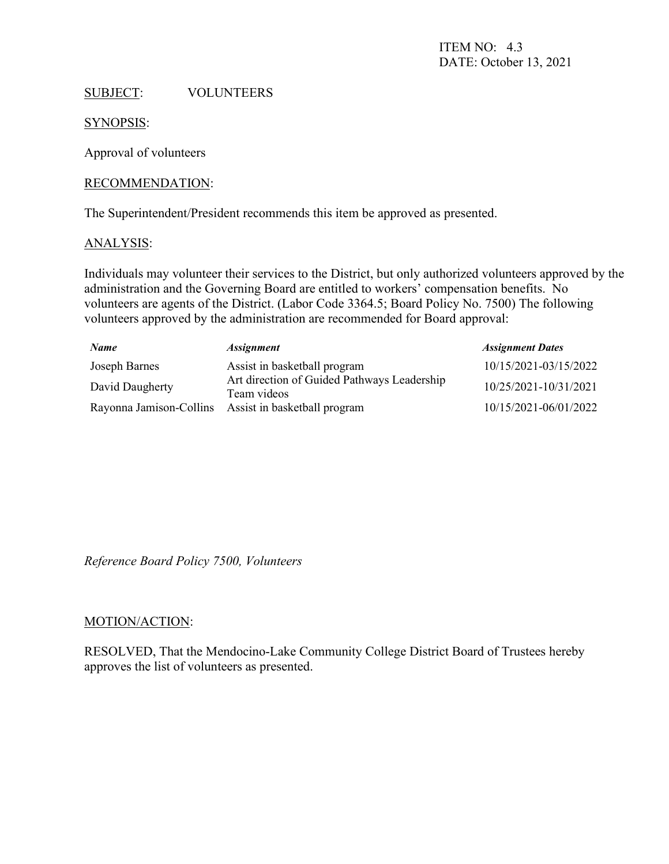# SUBJECT: VOLUNTEERS

SYNOPSIS:

Approval of volunteers

#### RECOMMENDATION:

The Superintendent/President recommends this item be approved as presented.

#### ANALYSIS:

Individuals may volunteer their services to the District, but only authorized volunteers approved by the administration and the Governing Board are entitled to workers' compensation benefits. No volunteers are agents of the District. (Labor Code 3364.5; Board Policy No. 7500) The following volunteers approved by the administration are recommended for Board approval:

| <b>Name</b>             | <i><b>Assignment</b></i>                                   | <b>Assignment Dates</b> |
|-------------------------|------------------------------------------------------------|-------------------------|
| Joseph Barnes           | Assist in basketball program                               | 10/15/2021-03/15/2022   |
| David Daugherty         | Art direction of Guided Pathways Leadership<br>Team videos | 10/25/2021-10/31/2021   |
| Rayonna Jamison-Collins | Assist in basketball program                               | 10/15/2021-06/01/2022   |

*Reference Board Policy 7500, Volunteers*

#### MOTION/ACTION:

RESOLVED, That the Mendocino-Lake Community College District Board of Trustees hereby approves the list of volunteers as presented.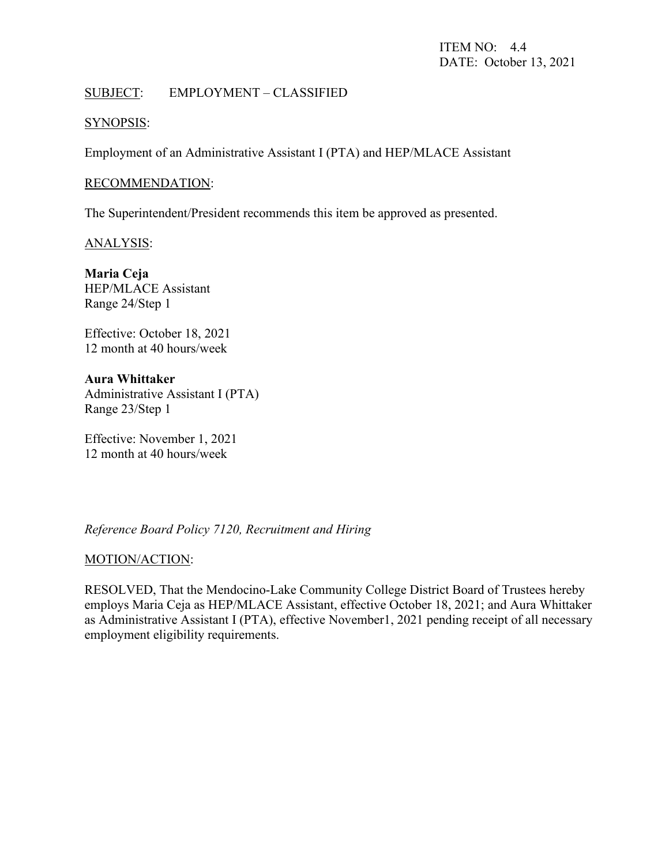# SUBJECT: EMPLOYMENT – CLASSIFIED

### SYNOPSIS:

Employment of an Administrative Assistant I (PTA) and HEP/MLACE Assistant

#### RECOMMENDATION:

The Superintendent/President recommends this item be approved as presented.

ANALYSIS:

**Maria Ceja**  HEP/MLACE Assistant Range 24/Step 1

Effective: October 18, 2021 12 month at 40 hours/week

**Aura Whittaker** Administrative Assistant I (PTA) Range 23/Step 1

Effective: November 1, 2021 12 month at 40 hours/week

*Reference Board Policy 7120, Recruitment and Hiring*

#### MOTION/ACTION:

RESOLVED, That the Mendocino-Lake Community College District Board of Trustees hereby employs Maria Ceja as HEP/MLACE Assistant, effective October 18, 2021; and Aura Whittaker as Administrative Assistant I (PTA), effective November1, 2021 pending receipt of all necessary employment eligibility requirements.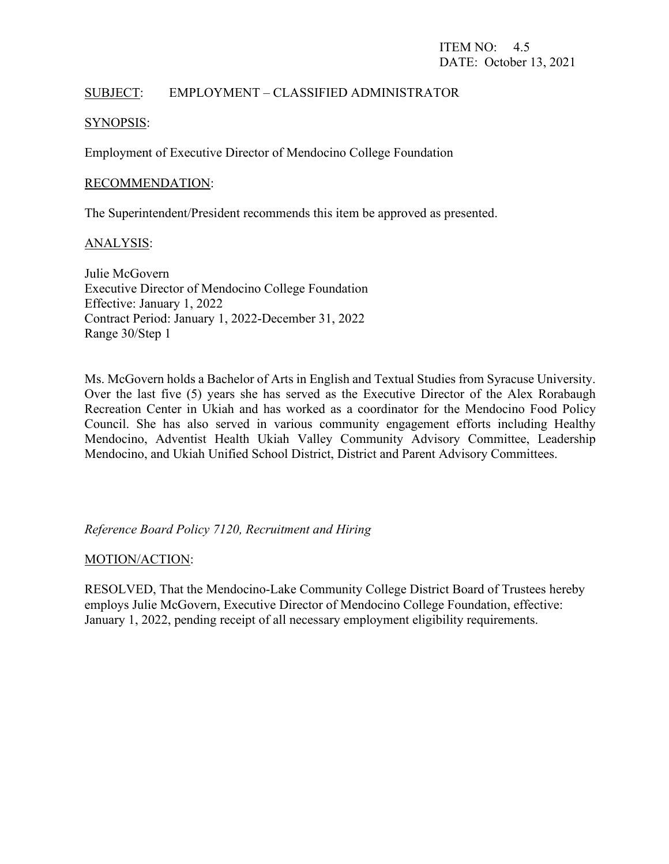# SUBJECT: EMPLOYMENT – CLASSIFIED ADMINISTRATOR

#### SYNOPSIS:

Employment of Executive Director of Mendocino College Foundation

#### RECOMMENDATION:

The Superintendent/President recommends this item be approved as presented.

#### ANALYSIS:

Julie McGovern Executive Director of Mendocino College Foundation Effective: January 1, 2022 Contract Period: January 1, 2022-December 31, 2022 Range 30/Step 1

Ms. McGovern holds a Bachelor of Arts in English and Textual Studies from Syracuse University. Over the last five (5) years she has served as the Executive Director of the Alex Rorabaugh Recreation Center in Ukiah and has worked as a coordinator for the Mendocino Food Policy Council. She has also served in various community engagement efforts including Healthy Mendocino, Adventist Health Ukiah Valley Community Advisory Committee, Leadership Mendocino, and Ukiah Unified School District, District and Parent Advisory Committees.

# *Reference Board Policy 7120, Recruitment and Hiring*

#### MOTION/ACTION:

RESOLVED, That the Mendocino-Lake Community College District Board of Trustees hereby employs Julie McGovern, Executive Director of Mendocino College Foundation, effective: January 1, 2022, pending receipt of all necessary employment eligibility requirements.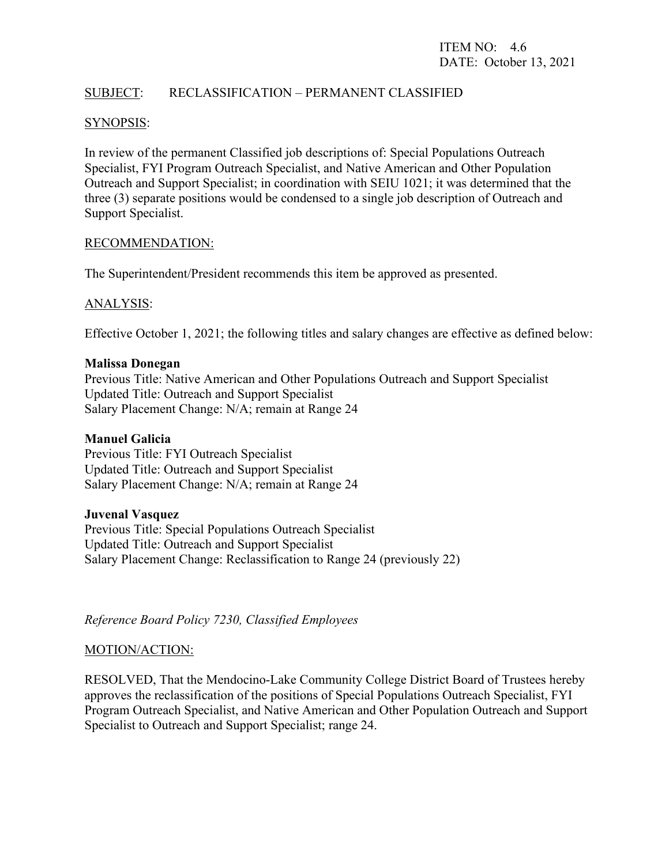# SUBJECT: RECLASSIFICATION – PERMANENT CLASSIFIED

#### SYNOPSIS:

In review of the permanent Classified job descriptions of: Special Populations Outreach Specialist, FYI Program Outreach Specialist, and Native American and Other Population Outreach and Support Specialist; in coordination with SEIU 1021; it was determined that the three (3) separate positions would be condensed to a single job description of Outreach and Support Specialist.

#### RECOMMENDATION:

The Superintendent/President recommends this item be approved as presented.

#### ANALYSIS:

Effective October 1, 2021; the following titles and salary changes are effective as defined below:

#### **Malissa Donegan**

Previous Title: Native American and Other Populations Outreach and Support Specialist Updated Title: Outreach and Support Specialist Salary Placement Change: N/A; remain at Range 24

#### **Manuel Galicia**

Previous Title: FYI Outreach Specialist Updated Title: Outreach and Support Specialist Salary Placement Change: N/A; remain at Range 24

#### **Juvenal Vasquez**

Previous Title: Special Populations Outreach Specialist Updated Title: Outreach and Support Specialist Salary Placement Change: Reclassification to Range 24 (previously 22)

*Reference Board Policy 7230, Classified Employees* 

#### MOTION/ACTION:

RESOLVED, That the Mendocino-Lake Community College District Board of Trustees hereby approves the reclassification of the positions of Special Populations Outreach Specialist, FYI Program Outreach Specialist, and Native American and Other Population Outreach and Support Specialist to Outreach and Support Specialist; range 24.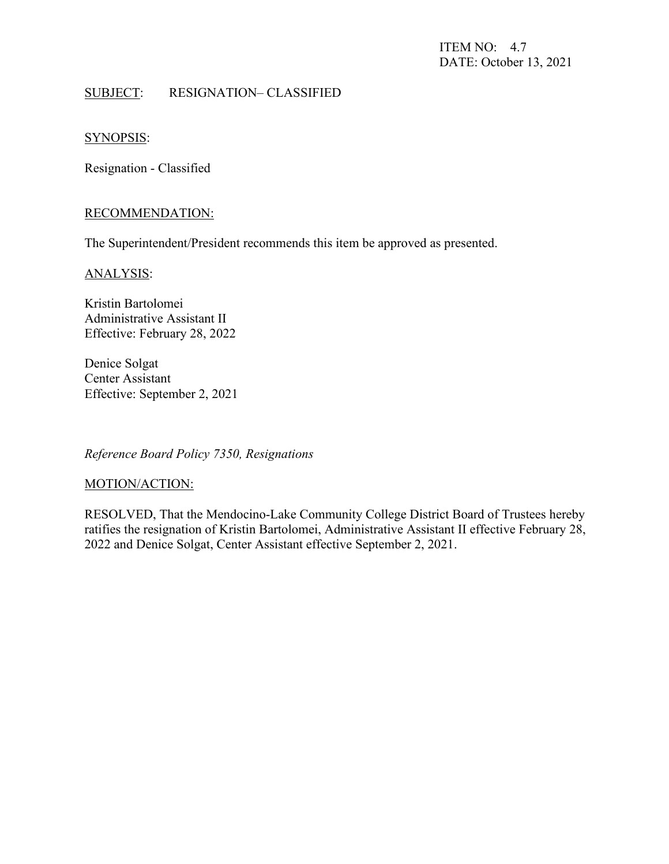ITEM NO: 4.7 DATE: October 13, 2021

# SUBJECT: RESIGNATION– CLASSIFIED

### SYNOPSIS:

Resignation - Classified

#### RECOMMENDATION:

The Superintendent/President recommends this item be approved as presented.

#### ANALYSIS:

Kristin Bartolomei Administrative Assistant II Effective: February 28, 2022

Denice Solgat Center Assistant Effective: September 2, 2021

*Reference Board Policy 7350, Resignations*

#### MOTION/ACTION:

RESOLVED, That the Mendocino-Lake Community College District Board of Trustees hereby ratifies the resignation of Kristin Bartolomei, Administrative Assistant II effective February 28, 2022 and Denice Solgat, Center Assistant effective September 2, 2021.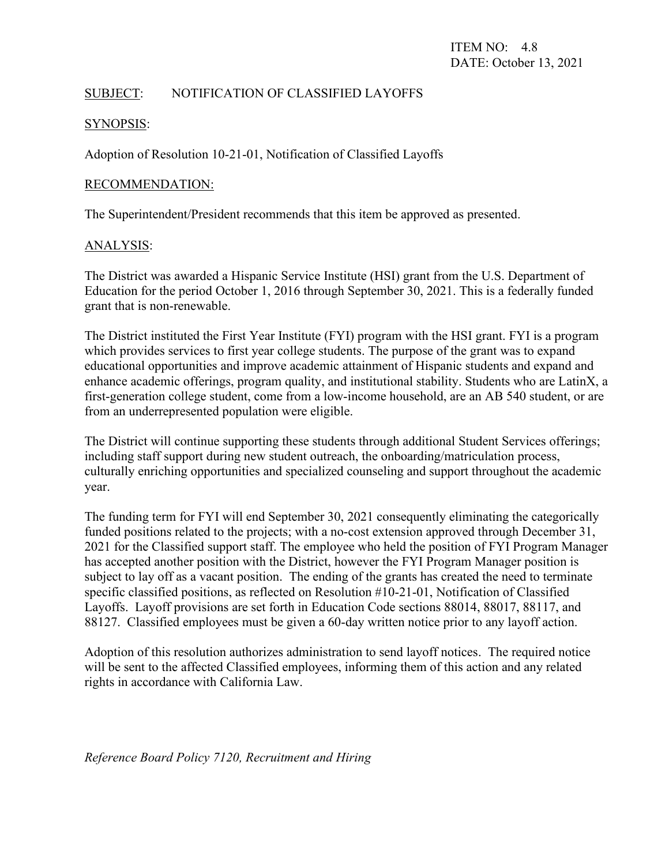# SUBJECT: NOTIFICATION OF CLASSIFIED LAYOFFS

#### SYNOPSIS:

Adoption of Resolution 10-21-01, Notification of Classified Layoffs

### RECOMMENDATION:

The Superintendent/President recommends that this item be approved as presented.

# ANALYSIS:

The District was awarded a Hispanic Service Institute (HSI) grant from the U.S. Department of Education for the period October 1, 2016 through September 30, 2021. This is a federally funded grant that is non-renewable.

The District instituted the First Year Institute (FYI) program with the HSI grant. FYI is a program which provides services to first year college students. The purpose of the grant was to expand educational opportunities and improve academic attainment of Hispanic students and expand and enhance academic offerings, program quality, and institutional stability. Students who are LatinX, a first-generation college student, come from a low-income household, are an AB 540 student, or are from an underrepresented population were eligible.

The District will continue supporting these students through additional Student Services offerings; including staff support during new student outreach, the onboarding/matriculation process, culturally enriching opportunities and specialized counseling and support throughout the academic year.

The funding term for FYI will end September 30, 2021 consequently eliminating the categorically funded positions related to the projects; with a no-cost extension approved through December 31, 2021 for the Classified support staff. The employee who held the position of FYI Program Manager has accepted another position with the District, however the FYI Program Manager position is subject to lay off as a vacant position. The ending of the grants has created the need to terminate specific classified positions, as reflected on Resolution #10-21-01, Notification of Classified Layoffs. Layoff provisions are set forth in Education Code sections 88014, 88017, 88117, and 88127. Classified employees must be given a 60-day written notice prior to any layoff action.

Adoption of this resolution authorizes administration to send layoff notices. The required notice will be sent to the affected Classified employees, informing them of this action and any related rights in accordance with California Law.

*Reference Board Policy 7120, Recruitment and Hiring*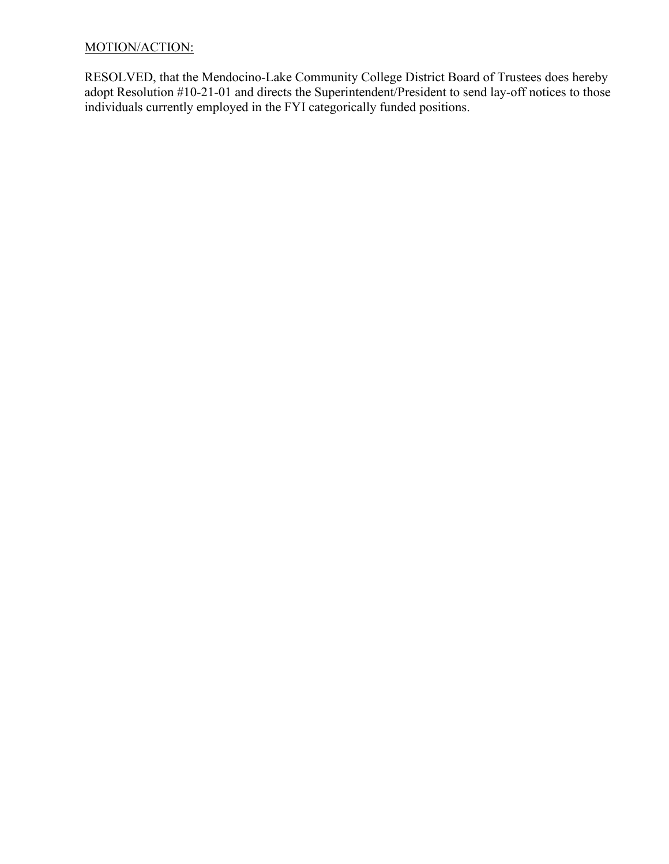# MOTION/ACTION:

RESOLVED, that the Mendocino-Lake Community College District Board of Trustees does hereby adopt Resolution #10-21-01 and directs the Superintendent/President to send lay-off notices to those individuals currently employed in the FYI categorically funded positions.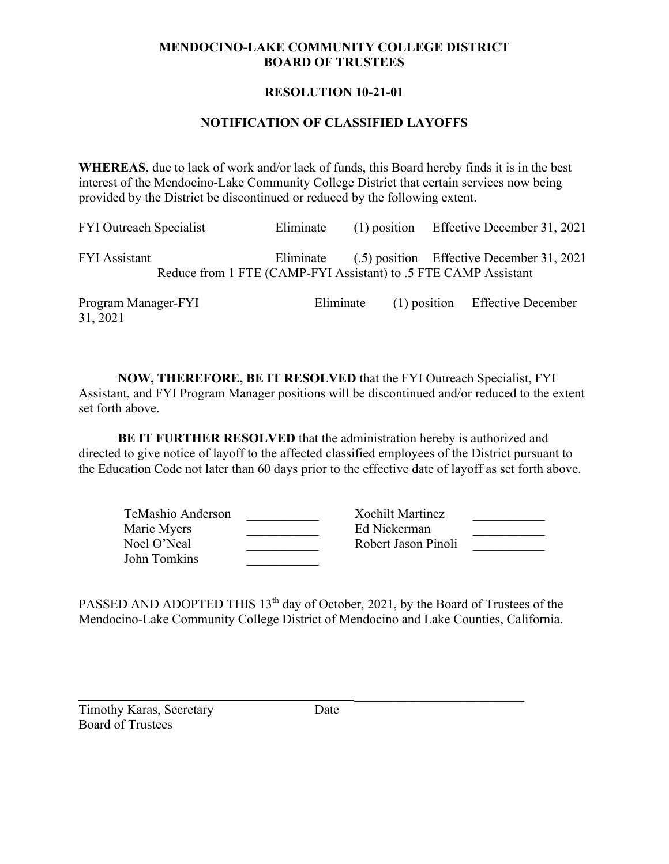# **MENDOCINO-LAKE COMMUNITY COLLEGE DISTRICT BOARD OF TRUSTEES**

# **RESOLUTION 10-21-01**

### **NOTIFICATION OF CLASSIFIED LAYOFFS**

**WHEREAS**, due to lack of work and/or lack of funds, this Board hereby finds it is in the best interest of the Mendocino-Lake Community College District that certain services now being provided by the District be discontinued or reduced by the following extent.

| <b>FYI Outreach Specialist</b>  | Eliminate |           | $(1)$ position Effective December 31, 2021                                                                             |
|---------------------------------|-----------|-----------|------------------------------------------------------------------------------------------------------------------------|
| <b>FYI</b> Assistant            |           |           | Eliminate (.5) position Effective December 31, 2021<br>Reduce from 1 FTE (CAMP-FYI Assistant) to .5 FTE CAMP Assistant |
| Program Manager-FYI<br>31, 2021 |           | Eliminate | (1) position Effective December                                                                                        |

**NOW, THEREFORE, BE IT RESOLVED** that the FYI Outreach Specialist, FYI Assistant, and FYI Program Manager positions will be discontinued and/or reduced to the extent set forth above.

**BE IT FURTHER RESOLVED** that the administration hereby is authorized and directed to give notice of layoff to the affected classified employees of the District pursuant to the Education Code not later than 60 days prior to the effective date of layoff as set forth above.

| TeMashio Anderson | Xochilt Martinez    |  |
|-------------------|---------------------|--|
| Marie Myers       | Ed Nickerman        |  |
| Noel O'Neal       | Robert Jason Pinoli |  |
| John Tomkins      |                     |  |

PASSED AND ADOPTED THIS 13<sup>th</sup> day of October, 2021, by the Board of Trustees of the Mendocino-Lake Community College District of Mendocino and Lake Counties, California.

\_\_\_\_\_\_\_\_\_\_\_\_\_\_\_\_\_\_\_\_\_\_\_\_\_\_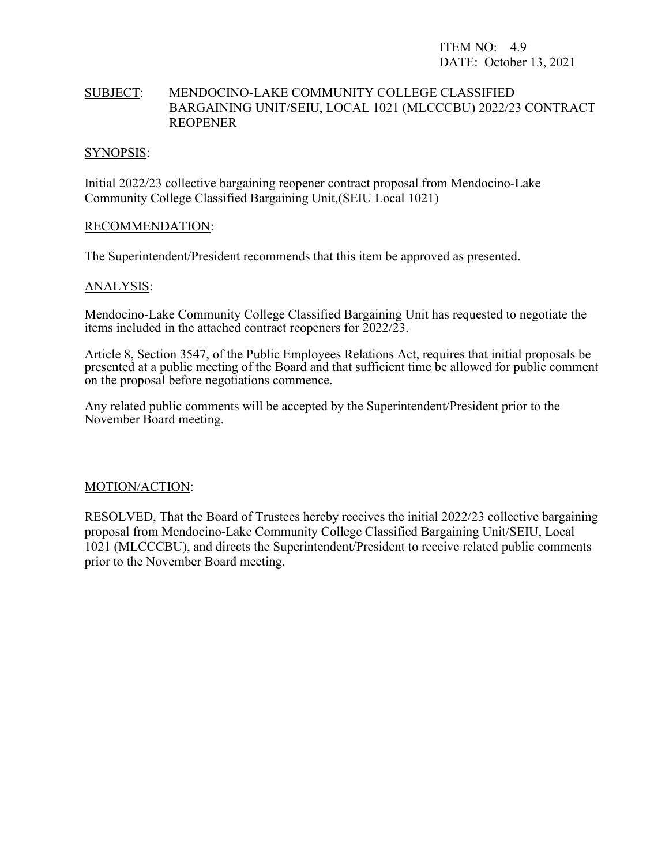ITEM NO: 4.9 DATE: October 13, 2021

# SUBJECT: MENDOCINO-LAKE COMMUNITY COLLEGE CLASSIFIED BARGAINING UNIT/SEIU, LOCAL 1021 (MLCCCBU) 2022/23 CONTRACT REOPENER

#### SYNOPSIS:

Initial 2022/23 collective bargaining reopener contract proposal from Mendocino-Lake Community College Classified Bargaining Unit,(SEIU Local 1021)

#### RECOMMENDATION:

The Superintendent/President recommends that this item be approved as presented.

#### ANALYSIS:

Mendocino-Lake Community College Classified Bargaining Unit has requested to negotiate the items included in the attached contract reopeners for 2022/23.

Article 8, Section 3547, of the Public Employees Relations Act, requires that initial proposals be presented at a public meeting of the Board and that sufficient time be allowed for public comment on the proposal before negotiations commence.

Any related public comments will be accepted by the Superintendent/President prior to the November Board meeting.

#### MOTION/ACTION:

RESOLVED, That the Board of Trustees hereby receives the initial 2022/23 collective bargaining proposal from Mendocino-Lake Community College Classified Bargaining Unit/SEIU, Local 1021 (MLCCCBU), and directs the Superintendent/President to receive related public comments prior to the November Board meeting.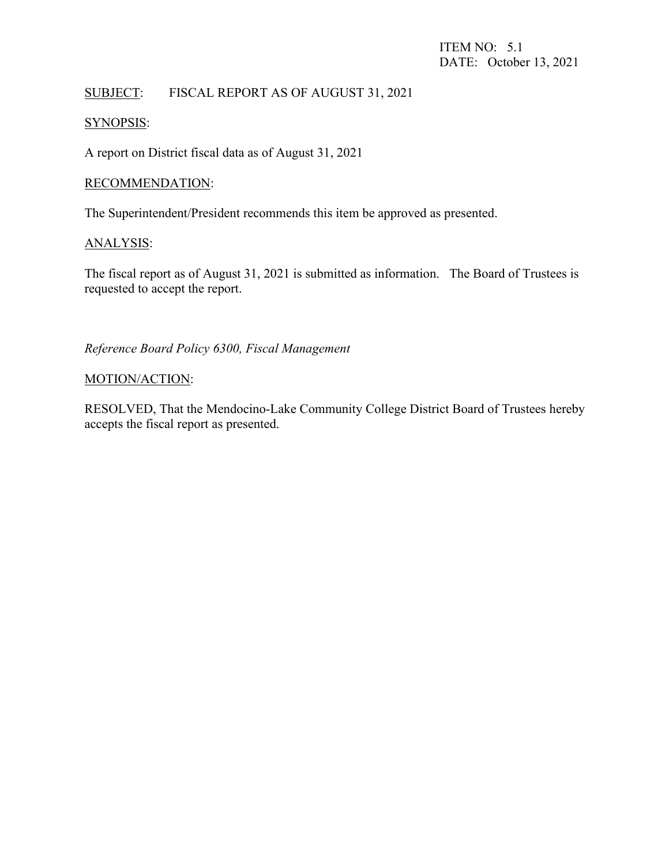# SUBJECT: FISCAL REPORT AS OF AUGUST 31, 2021

# SYNOPSIS:

A report on District fiscal data as of August 31, 2021

#### RECOMMENDATION:

The Superintendent/President recommends this item be approved as presented.

#### ANALYSIS:

The fiscal report as of August 31, 2021 is submitted as information. The Board of Trustees is requested to accept the report.

# *Reference Board Policy 6300, Fiscal Management*

#### MOTION/ACTION:

RESOLVED, That the Mendocino-Lake Community College District Board of Trustees hereby accepts the fiscal report as presented.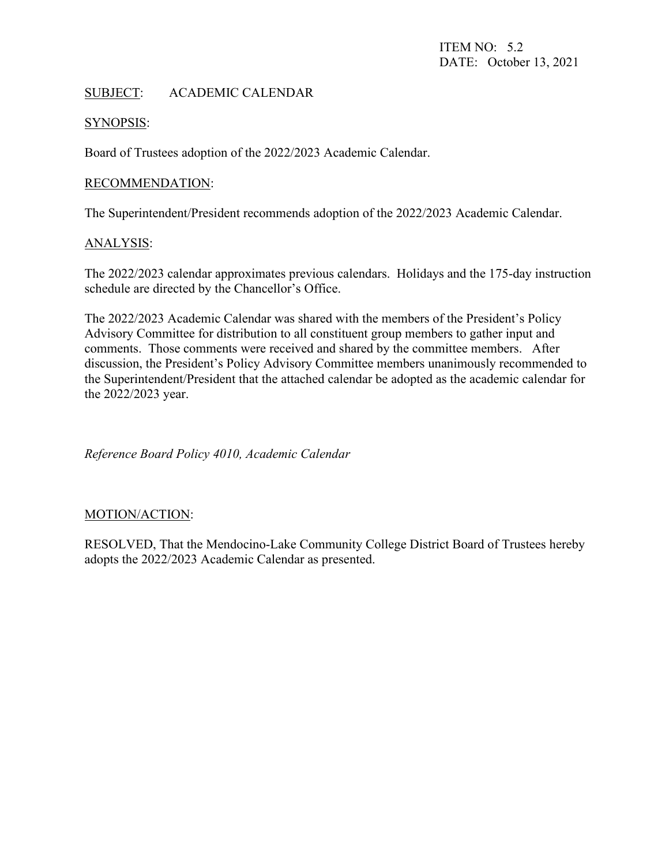# SUBJECT: ACADEMIC CALENDAR

#### SYNOPSIS:

Board of Trustees adoption of the 2022/2023 Academic Calendar.

### RECOMMENDATION:

The Superintendent/President recommends adoption of the 2022/2023 Academic Calendar.

#### ANALYSIS:

The 2022/2023 calendar approximates previous calendars. Holidays and the 175-day instruction schedule are directed by the Chancellor's Office.

The 2022/2023 Academic Calendar was shared with the members of the President's Policy Advisory Committee for distribution to all constituent group members to gather input and comments. Those comments were received and shared by the committee members. After discussion, the President's Policy Advisory Committee members unanimously recommended to the Superintendent/President that the attached calendar be adopted as the academic calendar for the 2022/2023 year.

*Reference Board Policy 4010, Academic Calendar*

#### MOTION/ACTION:

RESOLVED, That the Mendocino-Lake Community College District Board of Trustees hereby adopts the 2022/2023 Academic Calendar as presented.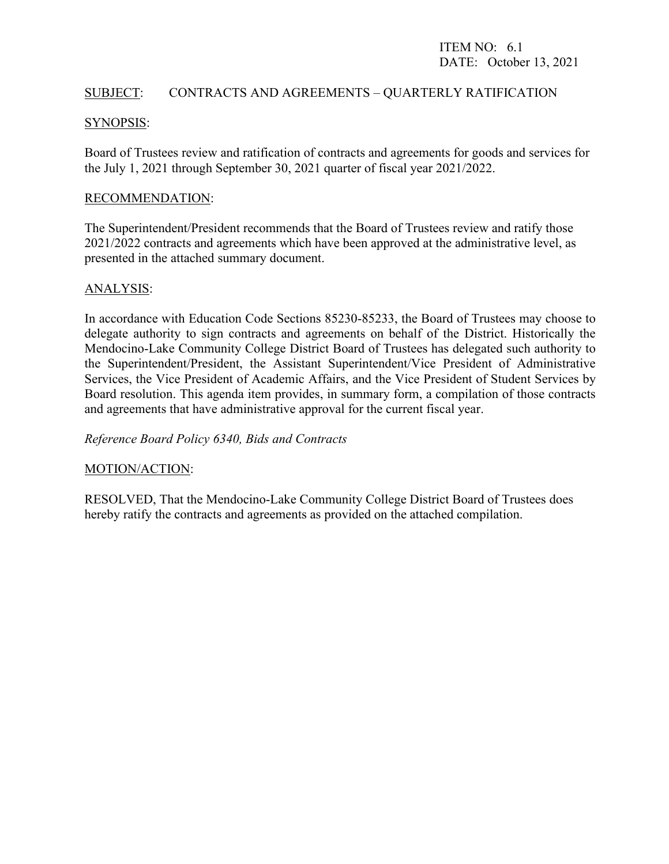### SUBJECT: CONTRACTS AND AGREEMENTS – QUARTERLY RATIFICATION

#### SYNOPSIS:

Board of Trustees review and ratification of contracts and agreements for goods and services for the July 1, 2021 through September 30, 2021 quarter of fiscal year 2021/2022.

#### RECOMMENDATION:

The Superintendent/President recommends that the Board of Trustees review and ratify those 2021/2022 contracts and agreements which have been approved at the administrative level, as presented in the attached summary document.

#### ANALYSIS:

In accordance with Education Code Sections 85230-85233, the Board of Trustees may choose to delegate authority to sign contracts and agreements on behalf of the District. Historically the Mendocino-Lake Community College District Board of Trustees has delegated such authority to the Superintendent/President, the Assistant Superintendent/Vice President of Administrative Services, the Vice President of Academic Affairs, and the Vice President of Student Services by Board resolution. This agenda item provides, in summary form, a compilation of those contracts and agreements that have administrative approval for the current fiscal year.

*Reference Board Policy 6340, Bids and Contracts*

#### MOTION/ACTION:

RESOLVED, That the Mendocino-Lake Community College District Board of Trustees does hereby ratify the contracts and agreements as provided on the attached compilation.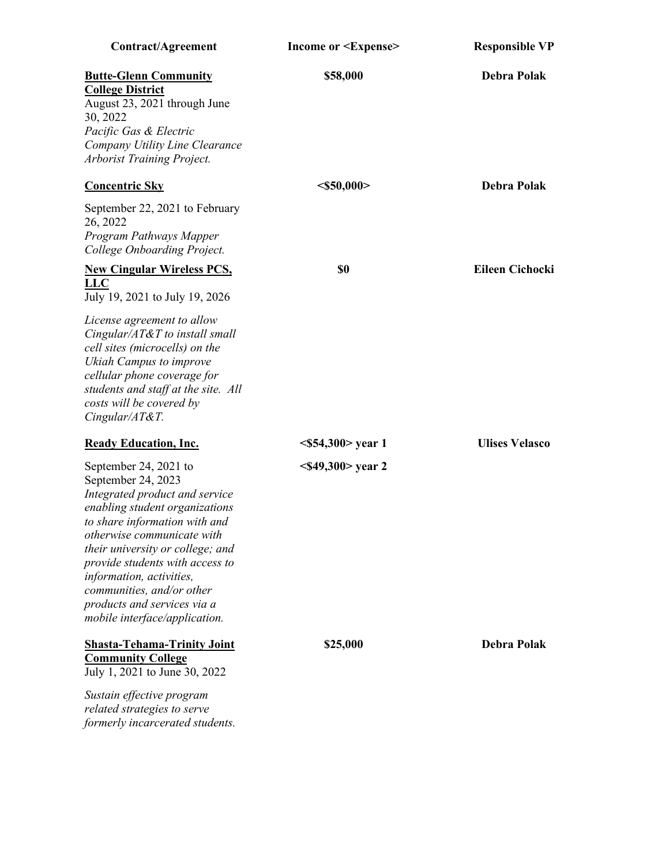| Contract/Agreement                                                                                                                                                                                                                                                                                                                                                                    | Income or <expense></expense> | <b>Responsible VP</b>  |
|---------------------------------------------------------------------------------------------------------------------------------------------------------------------------------------------------------------------------------------------------------------------------------------------------------------------------------------------------------------------------------------|-------------------------------|------------------------|
| <b>Butte-Glenn Community</b><br><b>College District</b><br>August 23, 2021 through June<br>30, 2022<br>Pacific Gas & Electric<br>Company Utility Line Clearance<br>Arborist Training Project.                                                                                                                                                                                         | \$58,000                      | Debra Polak            |
| <b>Concentric Sky</b>                                                                                                                                                                                                                                                                                                                                                                 | $<$ \$50,000>                 | <b>Debra Polak</b>     |
| September 22, 2021 to February<br>26, 2022<br>Program Pathways Mapper<br>College Onboarding Project.                                                                                                                                                                                                                                                                                  |                               |                        |
| <b>New Cingular Wireless PCS,</b><br><b>LLC</b><br>July 19, 2021 to July 19, 2026                                                                                                                                                                                                                                                                                                     | \$0                           | <b>Eileen Cichocki</b> |
| License agreement to allow<br>Cingular/AT&T to install small<br>cell sites (microcells) on the<br>Ukiah Campus to improve<br>cellular phone coverage for<br>students and staff at the site. All<br>costs will be covered by<br>Cingular/AT&T.                                                                                                                                         |                               |                        |
| <b>Ready Education, Inc.</b>                                                                                                                                                                                                                                                                                                                                                          | $<$ \$54,300> year 1          | <b>Ulises Velasco</b>  |
| September 24, 2021 to<br>September 24, 2023<br>Integrated product and service<br>enabling student organizations<br>to share information with and<br><i>otherwise communicate with</i><br>their university or college; and<br>provide students with access to<br>information, activities,<br>communities, and/or other<br>products and services via a<br>mobile interface/application. | $<$ \$49,300> year 2          |                        |
| <b>Shasta-Tehama-Trinity Joint</b><br><b>Community College</b><br>July 1, 2021 to June 30, 2022                                                                                                                                                                                                                                                                                       | \$25,000                      | <b>Debra Polak</b>     |
| Sustain effective program<br>related strategies to serve<br>formerly incarcerated students.                                                                                                                                                                                                                                                                                           |                               |                        |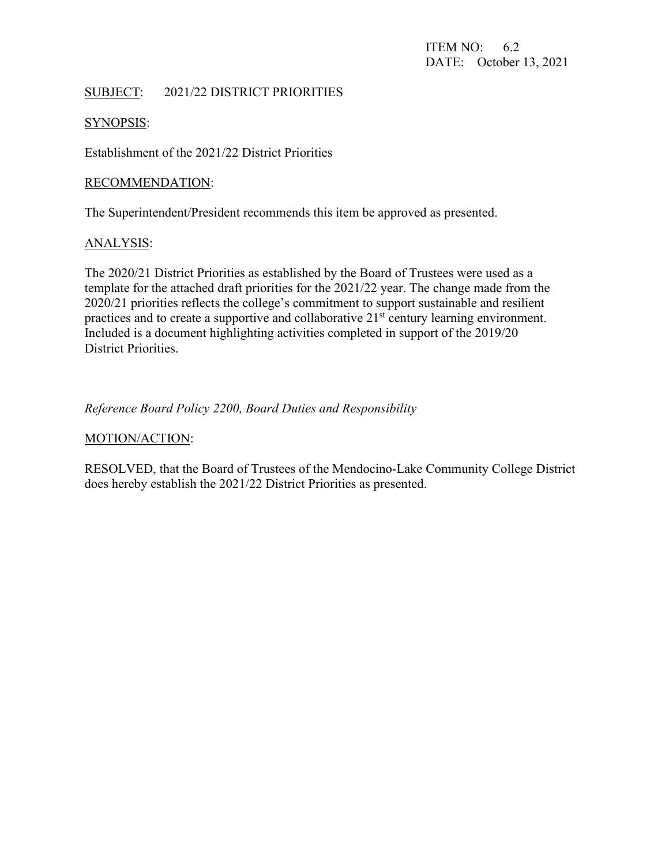# SUBJECT: 2021/22 DISTRICT PRIORITIES

#### SYNOPSIS:

Establishment of the 2021/22 District Priorities

#### RECOMMENDATION:

The Superintendent/President recommends this item be approved as presented.

#### ANALYSIS:

The 2020/21 District Priorities as established by the Board of Trustees were used as a template for the attached draft priorities for the 2021/22 year. The change made from the 2020/21 priorities reflects the college's commitment to support sustainable and resilient practices and to create a supportive and collaborative  $21<sup>st</sup>$  century learning environment. Included is a document highlighting activities completed in support of the 2019/20 District Priorities.

# *Reference Board Policy 2200, Board Duties and Responsibility*

#### MOTION/ACTION:

RESOLVED, that the Board of Trustees of the Mendocino-Lake Community College District does hereby establish the 2021/22 District Priorities as presented.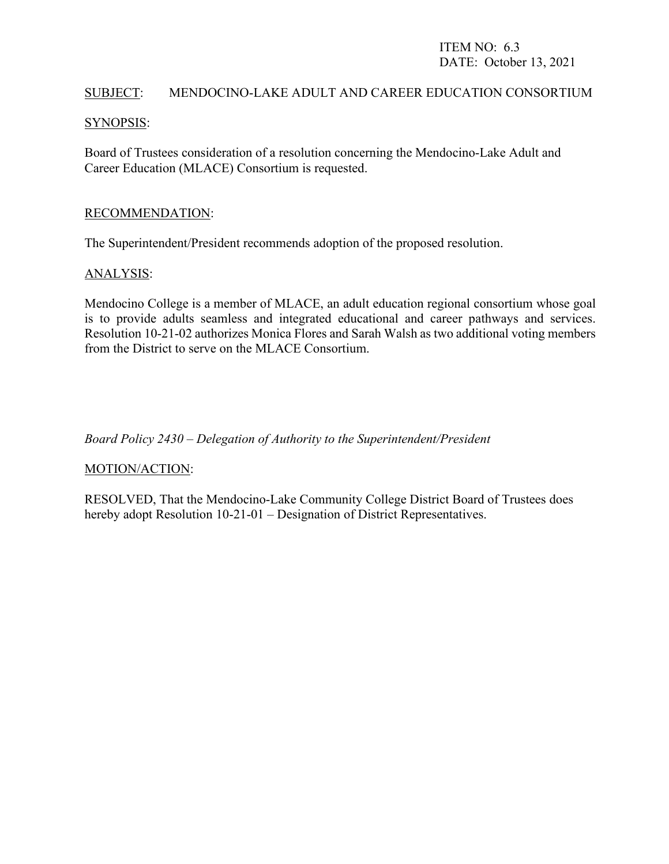# ITEM NO: 6.3 DATE: October 13, 2021

#### SUBJECT: MENDOCINO-LAKE ADULT AND CAREER EDUCATION CONSORTIUM

#### SYNOPSIS:

Board of Trustees consideration of a resolution concerning the Mendocino-Lake Adult and Career Education (MLACE) Consortium is requested.

#### RECOMMENDATION:

The Superintendent/President recommends adoption of the proposed resolution.

#### ANALYSIS:

Mendocino College is a member of MLACE, an adult education regional consortium whose goal is to provide adults seamless and integrated educational and career pathways and services. Resolution 10-21-02 authorizes Monica Flores and Sarah Walsh as two additional voting members from the District to serve on the MLACE Consortium.

*Board Policy 2430 – Delegation of Authority to the Superintendent/President*

# MOTION/ACTION:

RESOLVED, That the Mendocino-Lake Community College District Board of Trustees does hereby adopt Resolution 10-21-01 – Designation of District Representatives.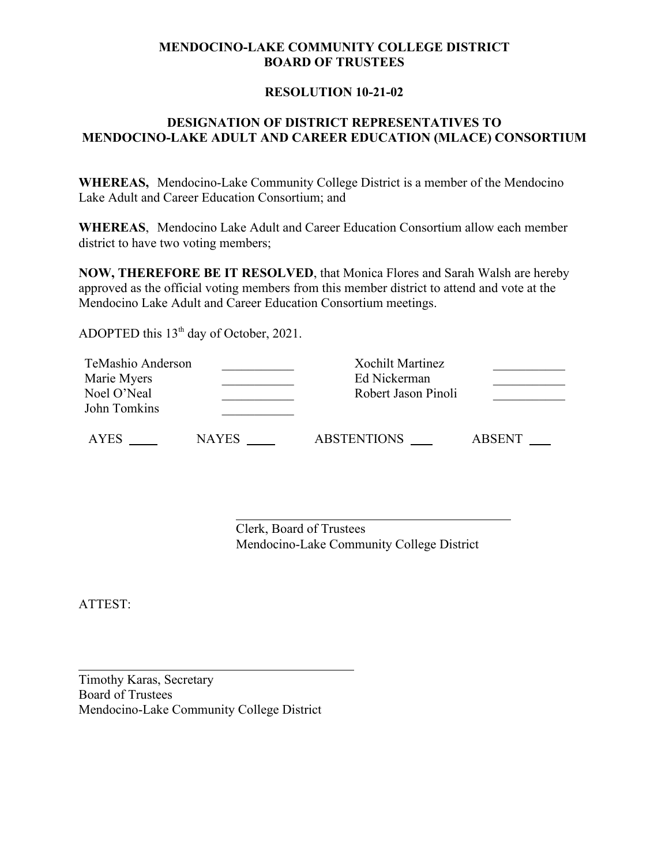### **MENDOCINO-LAKE COMMUNITY COLLEGE DISTRICT BOARD OF TRUSTEES**

### **RESOLUTION 10-21-02**

# **DESIGNATION OF DISTRICT REPRESENTATIVES TO MENDOCINO-LAKE ADULT AND CAREER EDUCATION (MLACE) CONSORTIUM**

**WHEREAS,** Mendocino-Lake Community College District is a member of the Mendocino Lake Adult and Career Education Consortium; and

**WHEREAS**, Mendocino Lake Adult and Career Education Consortium allow each member district to have two voting members;

**NOW, THEREFORE BE IT RESOLVED**, that Monica Flores and Sarah Walsh are hereby approved as the official voting members from this member district to attend and vote at the Mendocino Lake Adult and Career Education Consortium meetings.

ADOPTED this  $13<sup>th</sup>$  day of October, 2021.

| TeMashio Anderson<br>Marie Myers<br>Noel O'Neal<br>John Tomkins |              | <b>Xochilt Martinez</b><br>Ed Nickerman<br>Robert Jason Pinoli |               |
|-----------------------------------------------------------------|--------------|----------------------------------------------------------------|---------------|
| AYES                                                            | <b>NAYES</b> | <b>ABSTENTIONS</b>                                             | <b>ABSENT</b> |

Clerk, Board of Trustees Mendocino-Lake Community College District

ATTEST:

Timothy Karas, Secretary Board of Trustees Mendocino-Lake Community College District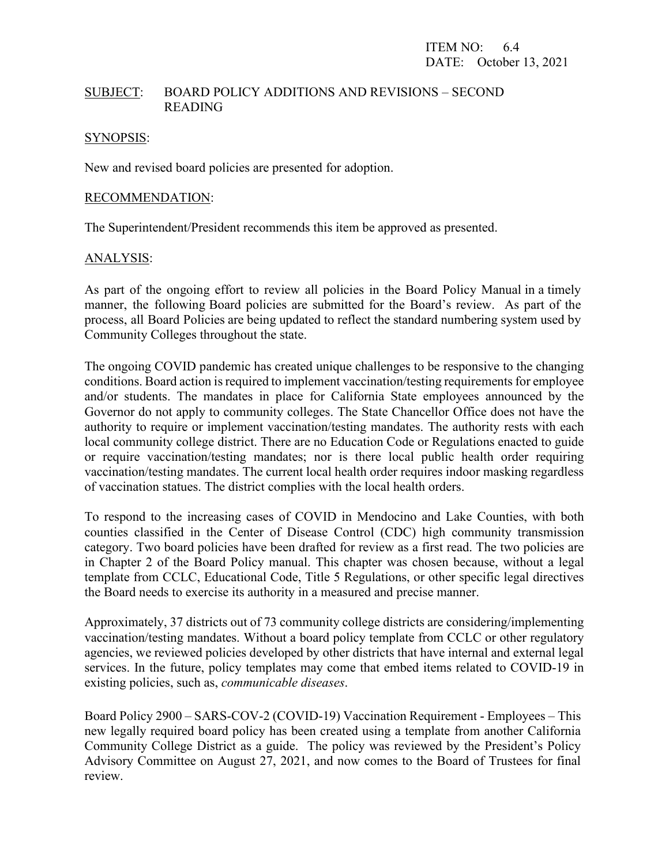#### SUBJECT: BOARD POLICY ADDITIONS AND REVISIONS – SECOND READING

#### SYNOPSIS:

New and revised board policies are presented for adoption.

#### RECOMMENDATION:

The Superintendent/President recommends this item be approved as presented.

#### ANALYSIS:

As part of the ongoing effort to review all policies in the Board Policy Manual in a timely manner, the following Board policies are submitted for the Board's review. As part of the process, all Board Policies are being updated to reflect the standard numbering system used by Community Colleges throughout the state.

The ongoing COVID pandemic has created unique challenges to be responsive to the changing conditions. Board action is required to implement vaccination/testing requirements for employee and/or students. The mandates in place for California State employees announced by the Governor do not apply to community colleges. The State Chancellor Office does not have the authority to require or implement vaccination/testing mandates. The authority rests with each local community college district. There are no Education Code or Regulations enacted to guide or require vaccination/testing mandates; nor is there local public health order requiring vaccination/testing mandates. The current local health order requires indoor masking regardless of vaccination statues. The district complies with the local health orders.

To respond to the increasing cases of COVID in Mendocino and Lake Counties, with both counties classified in the Center of Disease Control (CDC) high community transmission category. Two board policies have been drafted for review as a first read. The two policies are in Chapter 2 of the Board Policy manual. This chapter was chosen because, without a legal template from CCLC, Educational Code, Title 5 Regulations, or other specific legal directives the Board needs to exercise its authority in a measured and precise manner.

Approximately, 37 districts out of 73 community college districts are considering/implementing vaccination/testing mandates. Without a board policy template from CCLC or other regulatory agencies, we reviewed policies developed by other districts that have internal and external legal services. In the future, policy templates may come that embed items related to COVID-19 in existing policies, such as, *communicable diseases*.

Board Policy 2900 – SARS-COV-2 (COVID-19) Vaccination Requirement - Employees – This new legally required board policy has been created using a template from another California Community College District as a guide. The policy was reviewed by the President's Policy Advisory Committee on August 27, 2021, and now comes to the Board of Trustees for final review.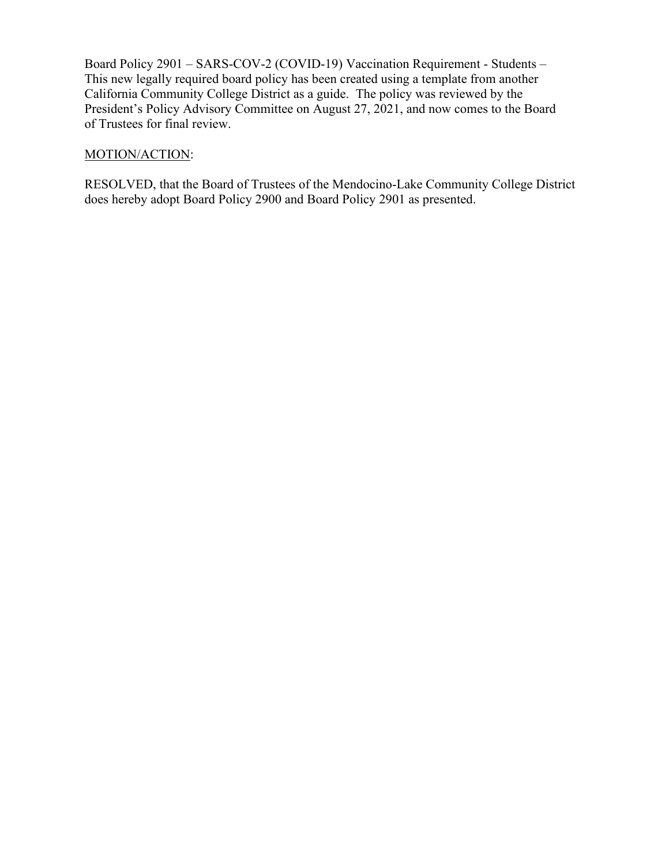Board Policy 2901 – SARS-COV-2 (COVID-19) Vaccination Requirement - Students – This new legally required board policy has been created using a template from another California Community College District as a guide. The policy was reviewed by the President's Policy Advisory Committee on August 27, 2021, and now comes to the Board of Trustees for final review.

# MOTION/ACTION:

RESOLVED, that the Board of Trustees of the Mendocino-Lake Community College District does hereby adopt Board Policy 2900 and Board Policy 2901 as presented.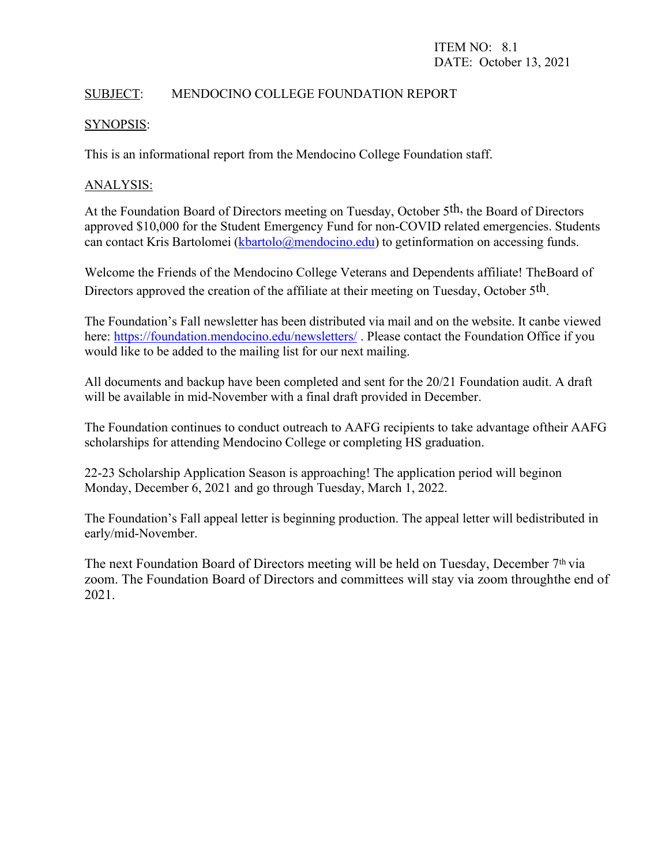# SUBJECT: MENDOCINO COLLEGE FOUNDATION REPORT

### SYNOPSIS:

This is an informational report from the Mendocino College Foundation staff.

### ANALYSIS:

At the Foundation Board of Directors meeting on Tuesday, October 5<sup>th</sup>, the Board of Directors approved \$10,000 for the Student Emergency Fund for non-COVID related emergencies. Students can contact Kris Bartolomei [\(kbartolo@mendocino.edu\)](mailto:kbartolo@mendocino.edu) to getinformation on accessing funds.

Welcome the Friends of the Mendocino College Veterans and Dependents affiliate! The Board of Directors approved the creation of the affiliate at their meeting on Tuesday, October 5<sup>th</sup>.

The Foundation's Fall newsletter has been distributed via mail and on the website. It canbe viewed here:<https://foundation.mendocino.edu/newsletters/>. Please contact the Foundation Office if you would like to be added to the mailing list for our next mailing.

All documents and backup have been completed and sent for the 20/21 Foundation audit. A draft will be available in mid-November with a final draft provided in December.

The Foundation continues to conduct outreach to AAFG recipients to take advantage oftheir AAFG scholarships for attending Mendocino College or completing HS graduation.

22-23 Scholarship Application Season is approaching! The application period will beginon Monday, December 6, 2021 and go through Tuesday, March 1, 2022.

The Foundation's Fall appeal letter is beginning production. The appeal letter will bedistributed in early/mid-November.

The next Foundation Board of Directors meeting will be held on Tuesday, December  $7<sup>th</sup>$  via zoom. The Foundation Board of Directors and committees will stay via zoom throughthe end of 2021.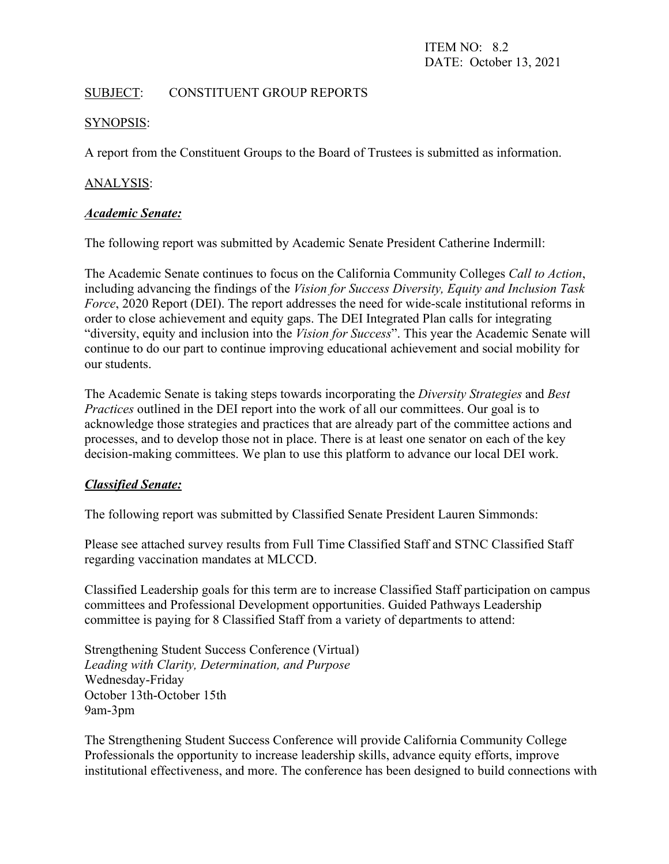ITEM NO: 8.2 DATE: October 13, 2021

# SUBJECT: CONSTITUENT GROUP REPORTS

#### SYNOPSIS:

A report from the Constituent Groups to the Board of Trustees is submitted as information.

# ANALYSIS:

#### *Academic Senate:*

The following report was submitted by Academic Senate President Catherine Indermill:

The Academic Senate continues to focus on the California Community Colleges *Call to Action*, including advancing the findings of the *Vision for Success Diversity, Equity and Inclusion Task Force*, 2020 Report (DEI). The report addresses the need for wide-scale institutional reforms in order to close achievement and equity gaps. The DEI Integrated Plan calls for integrating "diversity, equity and inclusion into the *Vision for Success*". This year the Academic Senate will continue to do our part to continue improving educational achievement and social mobility for our students.

The Academic Senate is taking steps towards incorporating the *Diversity Strategies* and *Best Practices* outlined in the DEI report into the work of all our committees. Our goal is to acknowledge those strategies and practices that are already part of the committee actions and processes, and to develop those not in place. There is at least one senator on each of the key decision-making committees. We plan to use this platform to advance our local DEI work.

#### *Classified Senate:*

The following report was submitted by Classified Senate President Lauren Simmonds:

Please see attached survey results from Full Time Classified Staff and STNC Classified Staff regarding vaccination mandates at MLCCD.

Classified Leadership goals for this term are to increase Classified Staff participation on campus committees and Professional Development opportunities. Guided Pathways Leadership committee is paying for 8 Classified Staff from a variety of departments to attend:

Strengthening Student Success Conference (Virtual) *Leading with Clarity, Determination, and Purpose* Wednesday-Friday October 13th-October 15th 9am-3pm

The Strengthening Student Success Conference will provide California Community College Professionals the opportunity to increase leadership skills, advance equity efforts, improve institutional effectiveness, and more. The conference has been designed to build connections with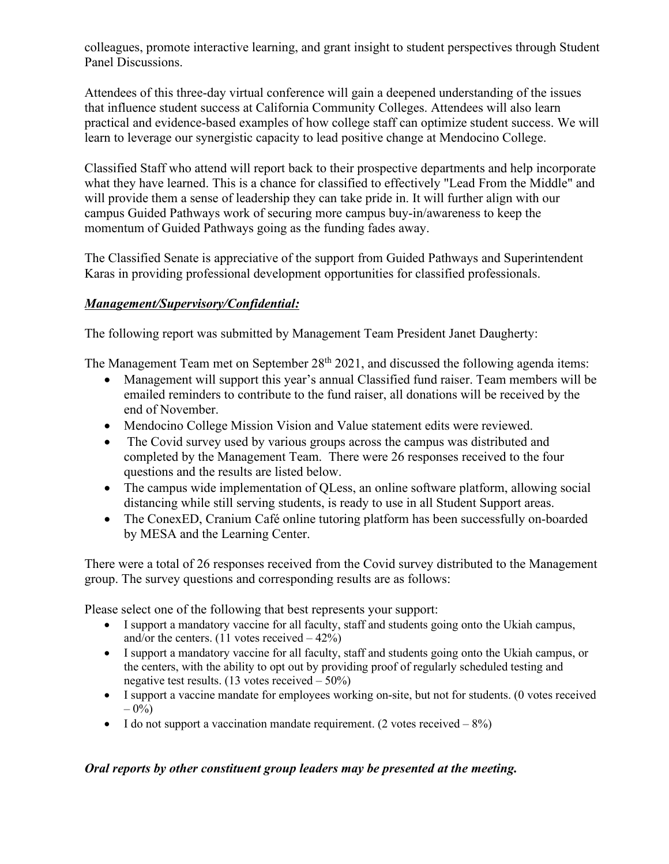colleagues, promote interactive learning, and grant insight to student perspectives through Student Panel Discussions.

Attendees of this three-day virtual conference will gain a deepened understanding of the issues that influence student success at California Community Colleges. Attendees will also learn practical and evidence-based examples of how college staff can optimize student success. We will learn to leverage our synergistic capacity to lead positive change at Mendocino College.

Classified Staff who attend will report back to their prospective departments and help incorporate what they have learned. This is a chance for classified to effectively "Lead From the Middle" and will provide them a sense of leadership they can take pride in. It will further align with our campus Guided Pathways work of securing more campus buy-in/awareness to keep the momentum of Guided Pathways going as the funding fades away.

The Classified Senate is appreciative of the support from Guided Pathways and Superintendent Karas in providing professional development opportunities for classified professionals.

# *Management/Supervisory/Confidential:*

The following report was submitted by Management Team President Janet Daugherty:

The Management Team met on September  $28<sup>th</sup> 2021$ , and discussed the following agenda items:

- Management will support this year's annual Classified fund raiser. Team members will be emailed reminders to contribute to the fund raiser, all donations will be received by the end of November.
- Mendocino College Mission Vision and Value statement edits were reviewed.
- The Covid survey used by various groups across the campus was distributed and completed by the Management Team. There were 26 responses received to the four questions and the results are listed below.
- The campus wide implementation of QLess, an online software platform, allowing social distancing while still serving students, is ready to use in all Student Support areas.
- The ConexED, Cranium Café online tutoring platform has been successfully on-boarded by MESA and the Learning Center.

There were a total of 26 responses received from the Covid survey distributed to the Management group. The survey questions and corresponding results are as follows:

Please select one of the following that best represents your support:

- I support a mandatory vaccine for all faculty, staff and students going onto the Ukiah campus, and/or the centers.  $(11 \text{ votes received} - 42\%)$
- I support a mandatory vaccine for all faculty, staff and students going onto the Ukiah campus, or the centers, with the ability to opt out by providing proof of regularly scheduled testing and negative test results.  $(13 \text{ votes received} - 50\%)$
- I support a vaccine mandate for employees working on-site, but not for students. (0 votes received  $-0\%$
- I do not support a vaccination mandate requirement. (2 votes received  $-8\%$ )

# *Oral reports by other constituent group leaders may be presented at the meeting.*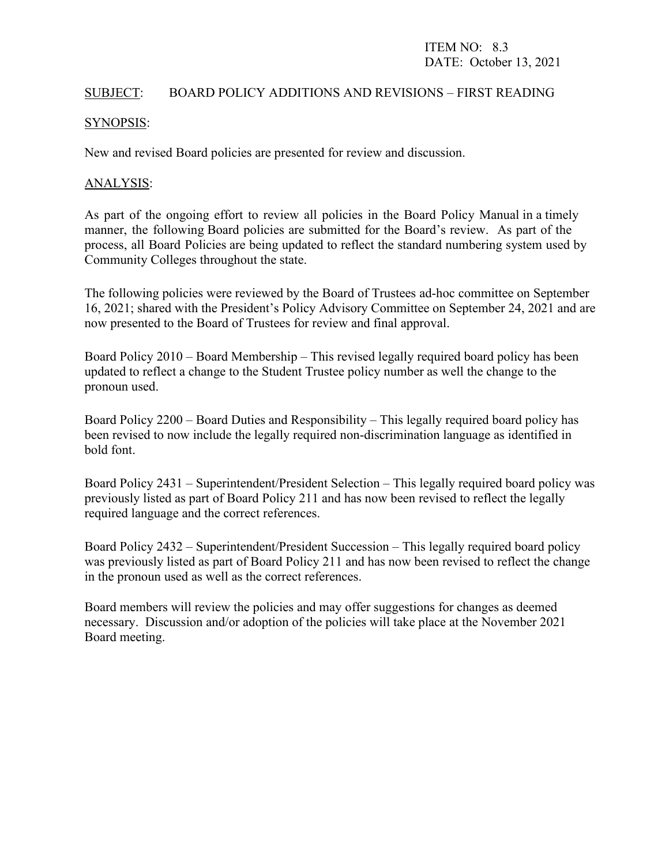#### SUBJECT: BOARD POLICY ADDITIONS AND REVISIONS – FIRST READING

#### SYNOPSIS:

New and revised Board policies are presented for review and discussion.

#### ANALYSIS:

As part of the ongoing effort to review all policies in the Board Policy Manual in a timely manner, the following Board policies are submitted for the Board's review. As part of the process, all Board Policies are being updated to reflect the standard numbering system used by Community Colleges throughout the state.

The following policies were reviewed by the Board of Trustees ad-hoc committee on September 16, 2021; shared with the President's Policy Advisory Committee on September 24, 2021 and are now presented to the Board of Trustees for review and final approval.

Board Policy 2010 – Board Membership – This revised legally required board policy has been updated to reflect a change to the Student Trustee policy number as well the change to the pronoun used.

Board Policy 2200 – Board Duties and Responsibility – This legally required board policy has been revised to now include the legally required non-discrimination language as identified in bold font.

Board Policy 2431 – Superintendent/President Selection – This legally required board policy was previously listed as part of Board Policy 211 and has now been revised to reflect the legally required language and the correct references.

Board Policy 2432 – Superintendent/President Succession – This legally required board policy was previously listed as part of Board Policy 211 and has now been revised to reflect the change in the pronoun used as well as the correct references.

Board members will review the policies and may offer suggestions for changes as deemed necessary. Discussion and/or adoption of the policies will take place at the November 2021 Board meeting.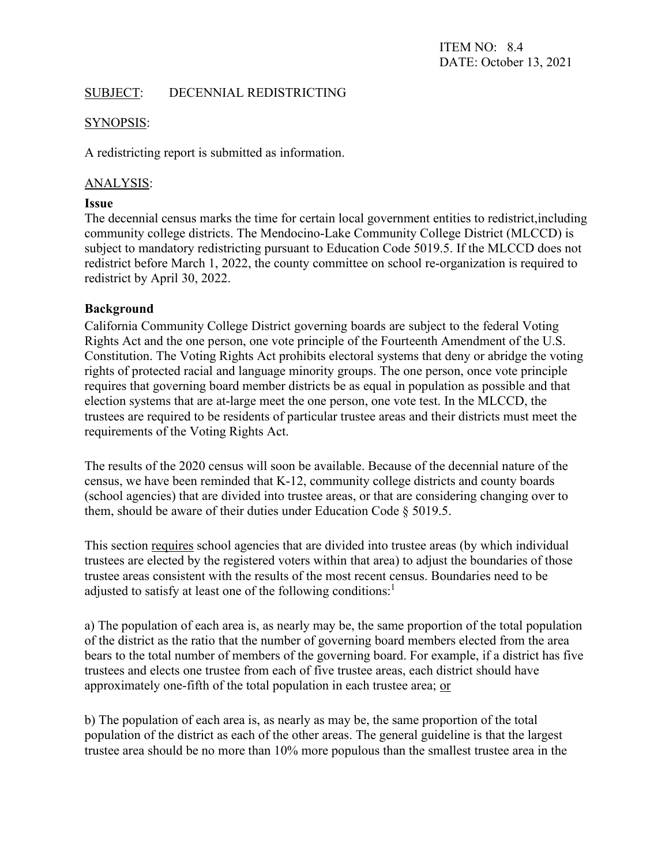# SUBJECT: DECENNIAL REDISTRICTING

### SYNOPSIS:

A redistricting report is submitted as information.

# ANALYSIS:

#### **Issue**

The decennial census marks the time for certain local government entities to redistrict,including community college districts. The Mendocino-Lake Community College District (MLCCD) is subject to mandatory redistricting pursuant to Education Code 5019.5. If the MLCCD does not redistrict before March 1, 2022, the county committee on school re-organization is required to redistrict by April 30, 2022.

#### **Background**

California Community College District governing boards are subject to the federal Voting Rights Act and the one person, one vote principle of the Fourteenth Amendment of the U.S. Constitution. The Voting Rights Act prohibits electoral systems that deny or abridge the voting rights of protected racial and language minority groups. The one person, once vote principle requires that governing board member districts be as equal in population as possible and that election systems that are at-large meet the one person, one vote test. In the MLCCD, the trustees are required to be residents of particular trustee areas and their districts must meet the requirements of the Voting Rights Act.

The results of the 2020 census will soon be available. Because of the decennial nature of the census, we have been reminded that K-12, community college districts and county boards (school agencies) that are divided into trustee areas, or that are considering changing over to them, should be aware of their duties under Education Code § 5019.5.

This section requires school agencies that are divided into trustee areas (by which individual trustees are elected by the registered voters within that area) to adjust the boundaries of those trustee areas consistent with the results of the most recent census. Boundaries need to be adjusted to satisfy at least one of the following conditions: $<sup>1</sup>$ </sup>

a) The population of each area is, as nearly may be, the same proportion of the total population of the district as the ratio that the number of governing board members elected from the area bears to the total number of members of the governing board. For example, if a district has five trustees and elects one trustee from each of five trustee areas, each district should have approximately one-fifth of the total population in each trustee area; or

b) The population of each area is, as nearly as may be, the same proportion of the total population of the district as each of the other areas. The general guideline is that the largest trustee area should be no more than 10% more populous than the smallest trustee area in the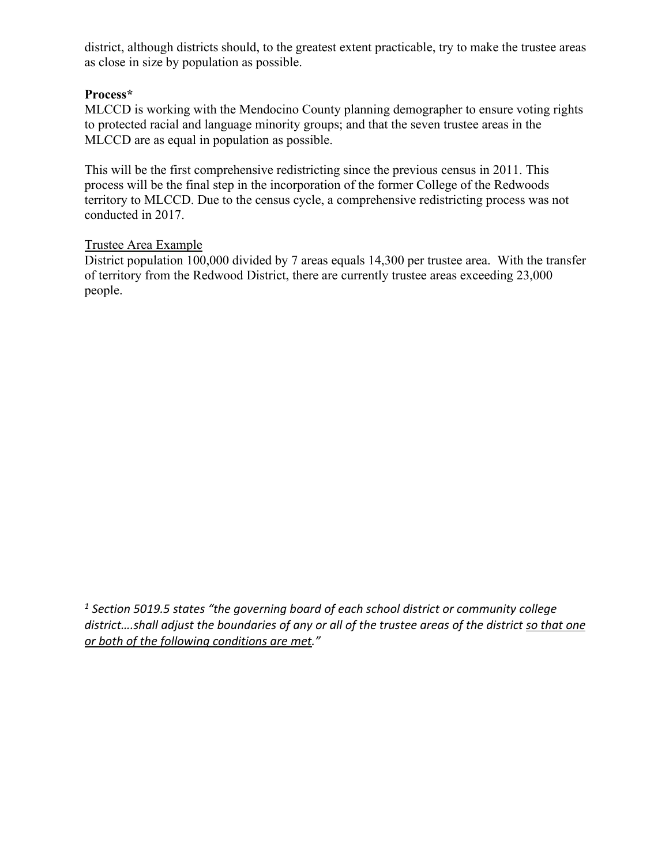district, although districts should, to the greatest extent practicable, try to make the trustee areas as close in size by population as possible.

# **Process\***

MLCCD is working with the Mendocino County planning demographer to ensure voting rights to protected racial and language minority groups; and that the seven trustee areas in the MLCCD are as equal in population as possible.

This will be the first comprehensive redistricting since the previous census in 2011. This process will be the final step in the incorporation of the former College of the Redwoods territory to MLCCD. Due to the census cycle, a comprehensive redistricting process was not conducted in 2017.

#### Trustee Area Example

District population 100,000 divided by 7 areas equals 14,300 per trustee area. With the transfer of territory from the Redwood District, there are currently trustee areas exceeding 23,000 people.

*<sup>1</sup> Section 5019.5 states "the governing board of each school district or community college district….shall adjust the boundaries of any or all of the trustee areas of the district so that one or both of the following conditions are met."*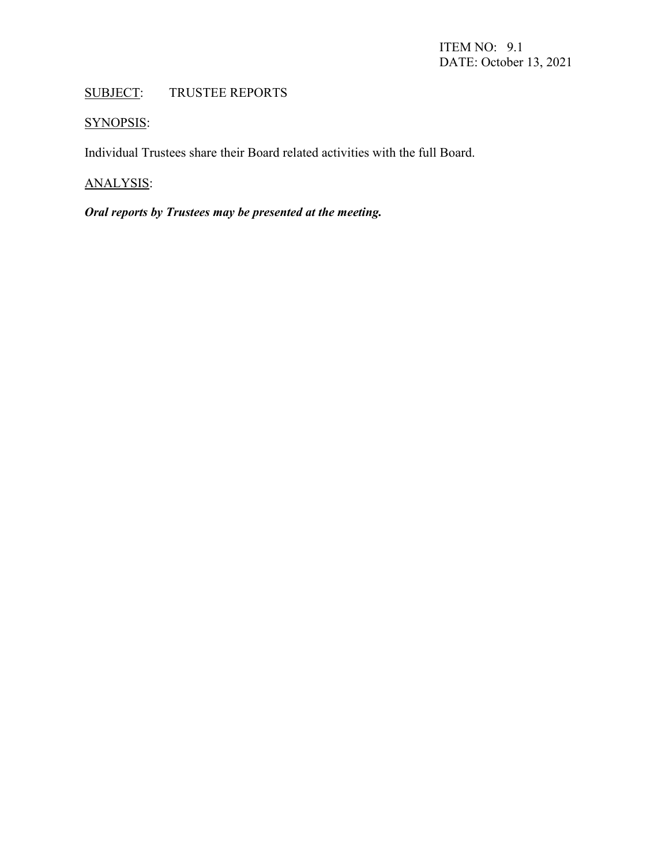# SUBJECT: TRUSTEE REPORTS

# SYNOPSIS:

Individual Trustees share their Board related activities with the full Board.

# ANALYSIS:

# *Oral reports by Trustees may be presented at the meeting.*